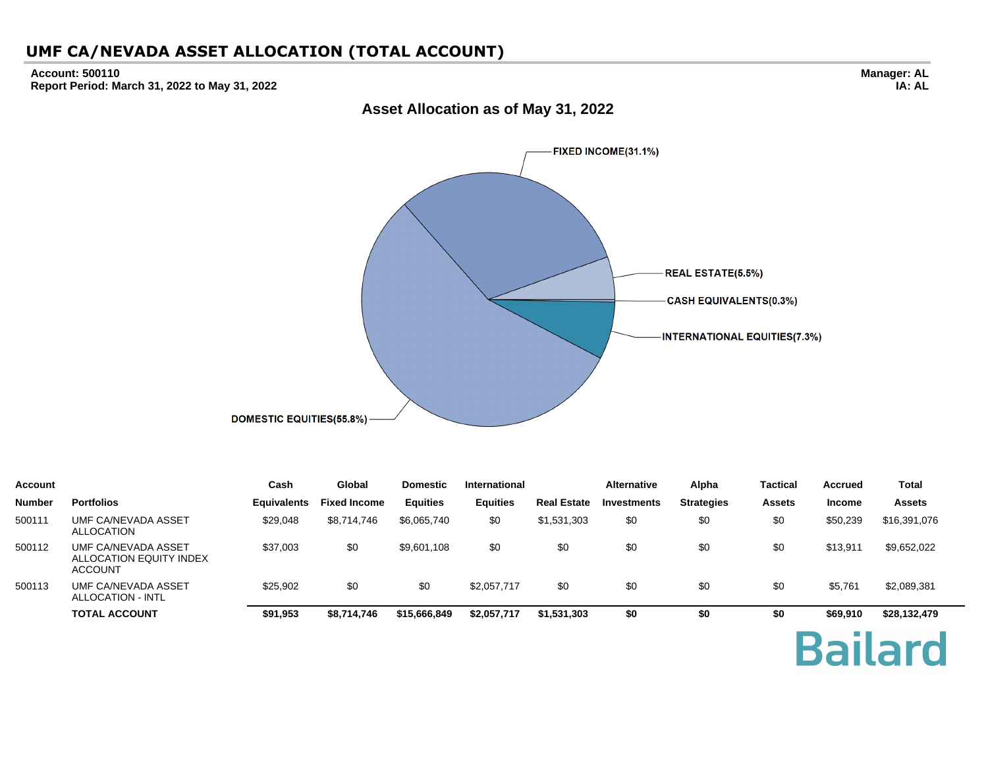#### **Account: 500110 Report Period: March 31, 2022 to May 31, 2022**

**Manager: AL IA: AL**

# FIXED INCOME(31.1%) **REAL ESTATE(5.5%) CASH EQUIVALENTS(0.3%) INTERNATIONAL EQUITIES(7.3%) DOMESTIC EQUITIES(55.8%)**

| Account       |                                                                  | Cash               | Global              | <b>Domestic</b> | International   |                    | <b>Alternative</b> | Alpha             | <b>Tactical</b> | <b>Accrued</b> | <b>Total</b>  |
|---------------|------------------------------------------------------------------|--------------------|---------------------|-----------------|-----------------|--------------------|--------------------|-------------------|-----------------|----------------|---------------|
| <b>Number</b> | <b>Portfolios</b>                                                | <b>Equivalents</b> | <b>Fixed Income</b> | <b>Equities</b> | <b>Equities</b> | <b>Real Estate</b> | <b>Investments</b> | <b>Strategies</b> | <b>Assets</b>   | <b>Income</b>  | <b>Assets</b> |
| 500111        | UMF CA/NEVADA ASSET<br>ALLOCATION                                | \$29,048           | \$8,714,746         | \$6,065,740     | \$0             | \$1,531,303        | \$0                | \$0               | \$0             | \$50,239       | \$16,391,076  |
| 500112        | UMF CA/NEVADA ASSET<br>ALLOCATION EQUITY INDEX<br><b>ACCOUNT</b> | \$37,003           | \$0                 | \$9,601,108     | \$0             | \$0                | \$0                | \$0               | \$0             | \$13,911       | \$9,652,022   |
| 500113        | UMF CA/NEVADA ASSET<br>ALLOCATION - INTL                         | \$25,902           | \$0                 | \$0             | \$2,057,717     | \$0                | \$0                | \$0               | \$0             | \$5,761        | \$2,089,381   |
|               | <b>TOTAL ACCOUNT</b>                                             | \$91,953           | \$8,714,746         | \$15,666,849    | \$2,057,717     | \$1,531,303        | \$0                | \$0               | \$0             | \$69,910       | \$28,132,479  |

# **Bailard**

#### **Asset Allocation as of May 31, 2022**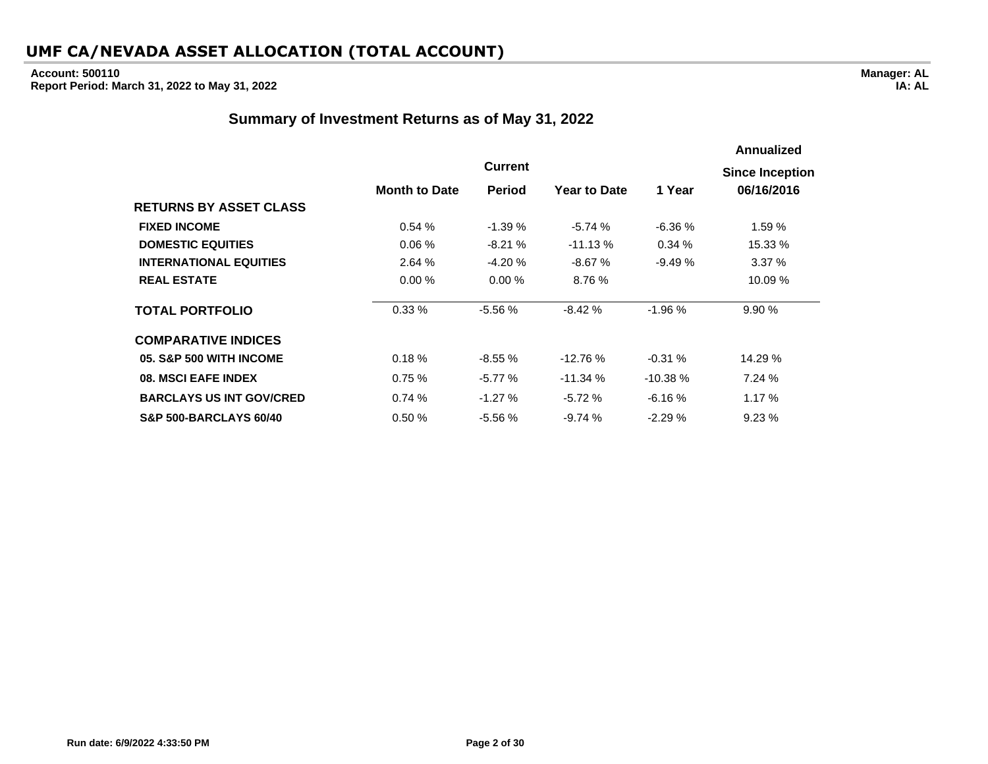#### **Account: 500110 Report Period: March 31, 2022 to May 31, 2022**

#### **Summary of Investment Returns as of May 31, 2022**

|                                   |                      |                |                     |           | <b>Annualized</b>                    |  |  |  |  |
|-----------------------------------|----------------------|----------------|---------------------|-----------|--------------------------------------|--|--|--|--|
|                                   |                      | <b>Current</b> |                     |           |                                      |  |  |  |  |
|                                   | <b>Month to Date</b> | <b>Period</b>  | <b>Year to Date</b> | 1 Year    | <b>Since Inception</b><br>06/16/2016 |  |  |  |  |
| <b>RETURNS BY ASSET CLASS</b>     |                      |                |                     |           |                                      |  |  |  |  |
| <b>FIXED INCOME</b>               | 0.54%                | $-1.39%$       | $-5.74%$            | $-6.36%$  | 1.59%                                |  |  |  |  |
| <b>DOMESTIC EQUITIES</b>          | 0.06%                | $-8.21%$       | $-11.13%$           | 0.34%     | 15.33 %                              |  |  |  |  |
| <b>INTERNATIONAL EQUITIES</b>     | 2.64 %               | $-4.20%$       | $-8.67%$            | $-9.49%$  | 3.37%                                |  |  |  |  |
| <b>REAL ESTATE</b>                | 0.00%                | 0.00%          | 8.76%               |           | 10.09 %                              |  |  |  |  |
| <b>TOTAL PORTFOLIO</b>            | 0.33%                | $-5.56%$       | $-8.42%$            | $-1.96%$  | 9.90%                                |  |  |  |  |
| <b>COMPARATIVE INDICES</b>        |                      |                |                     |           |                                      |  |  |  |  |
| 05. S&P 500 WITH INCOME           | 0.18%                | $-8.55%$       | $-12.76%$           | $-0.31%$  | 14.29 %                              |  |  |  |  |
| 08. MSCI EAFE INDEX               | 0.75%                | $-5.77%$       | $-11.34%$           | $-10.38%$ | 7.24%                                |  |  |  |  |
| <b>BARCLAYS US INT GOV/CRED</b>   | 0.74%                | $-1.27%$       | $-5.72%$            | $-6.16%$  | 1.17%                                |  |  |  |  |
| <b>S&amp;P 500-BARCLAYS 60/40</b> | 0.50%                | $-5.56%$       | $-9.74%$            | $-2.29%$  | 9.23%                                |  |  |  |  |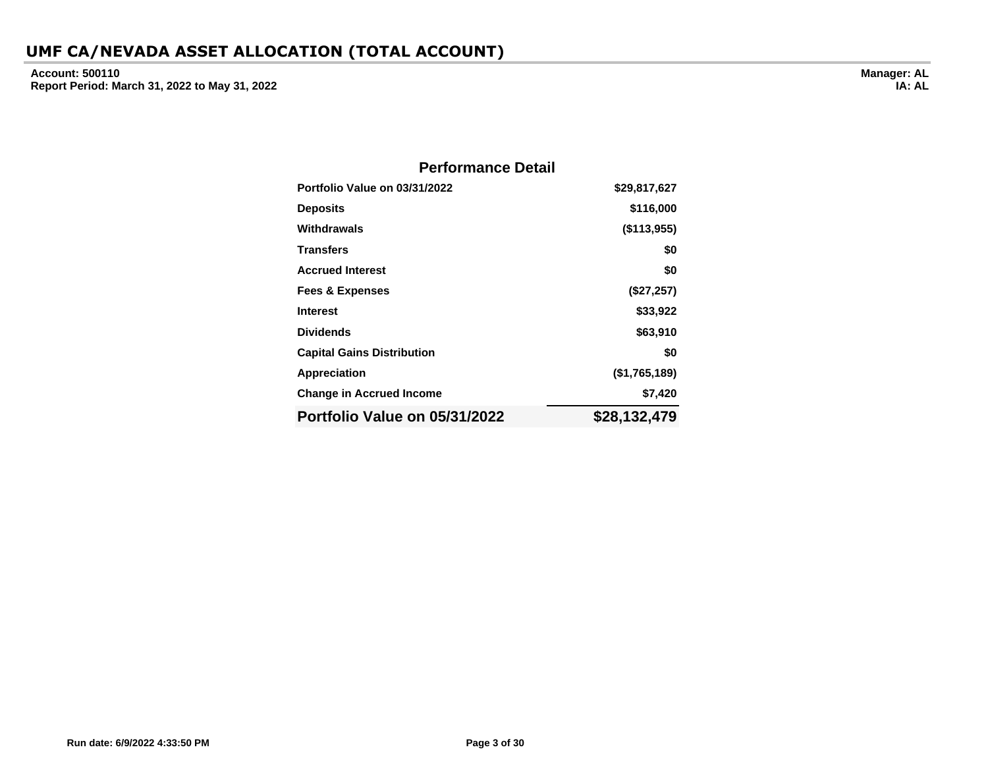**Account: 500110 Report Period: March 31, 2022 to May 31, 2022**

| <b>Performance Detail</b>         |               |
|-----------------------------------|---------------|
| Portfolio Value on 03/31/2022     | \$29,817,627  |
| <b>Deposits</b>                   | \$116,000     |
| Withdrawals                       | (\$113,955)   |
| <b>Transfers</b>                  | \$0           |
| <b>Accrued Interest</b>           | \$0           |
| <b>Fees &amp; Expenses</b>        | (\$27,257)    |
| <b>Interest</b>                   | \$33,922      |
| <b>Dividends</b>                  | \$63,910      |
| <b>Capital Gains Distribution</b> | \$0           |
| Appreciation                      | (\$1,765,189) |
| <b>Change in Accrued Income</b>   | \$7,420       |
| Portfolio Value on 05/31/2022     | \$28,132,479  |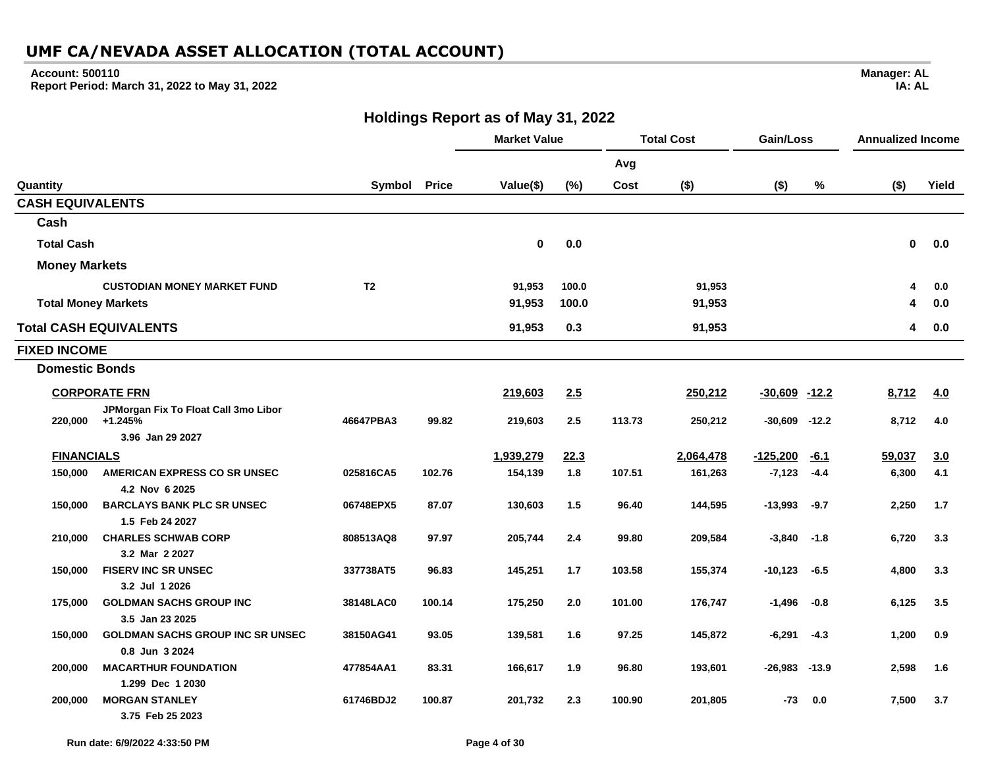#### **Account: 500110**

**Report Period: March 31, 2022 to May 31, 2022**

**Manager: AL IA: AL**

**Holdings Report as of May 31, 2022**

|                            |                                               |                |              | <b>Market Value</b> |       | <b>Total Cost</b> |           | Gain/Loss         |               | <b>Annualized Income</b> |       |
|----------------------------|-----------------------------------------------|----------------|--------------|---------------------|-------|-------------------|-----------|-------------------|---------------|--------------------------|-------|
|                            |                                               |                |              |                     |       | Avg               |           |                   |               |                          |       |
| Quantity                   |                                               | Symbol         | <b>Price</b> | Value(\$)           | (%)   | Cost              | $($ \$)   | $($ \$)           | $\frac{1}{2}$ | $($ \$)                  | Yield |
| <b>CASH EQUIVALENTS</b>    |                                               |                |              |                     |       |                   |           |                   |               |                          |       |
| Cash                       |                                               |                |              |                     |       |                   |           |                   |               |                          |       |
| <b>Total Cash</b>          |                                               |                |              | $\mathbf{0}$        | 0.0   |                   |           |                   |               | $\mathbf{0}$             | 0.0   |
| <b>Money Markets</b>       |                                               |                |              |                     |       |                   |           |                   |               |                          |       |
|                            | <b>CUSTODIAN MONEY MARKET FUND</b>            | T <sub>2</sub> |              | 91,953              | 100.0 |                   | 91,953    |                   |               | $\boldsymbol{\Lambda}$   | 0.0   |
| <b>Total Money Markets</b> |                                               |                |              | 91,953              | 100.0 |                   | 91,953    |                   |               | Δ                        | 0.0   |
|                            | <b>Total CASH EQUIVALENTS</b>                 |                |              | 91,953              | 0.3   |                   | 91,953    |                   |               | 4                        | 0.0   |
| <b>FIXED INCOME</b>        |                                               |                |              |                     |       |                   |           |                   |               |                          |       |
| <b>Domestic Bonds</b>      |                                               |                |              |                     |       |                   |           |                   |               |                          |       |
|                            | <b>CORPORATE FRN</b>                          |                |              | 219,603             | 2.5   |                   | 250,212   | $-30,609$ $-12.2$ |               | 8,712                    | 4.0   |
|                            | JPMorgan Fix To Float Call 3mo Libor          |                |              |                     |       |                   |           |                   |               |                          |       |
|                            | 220,000 +1.245%                               | 46647PBA3      | 99.82        | 219,603             | 2.5   | 113.73            | 250,212   | $-30,609$         | $-12.2$       | 8,712                    | 4.0   |
|                            | 3.96 Jan 29 2027                              |                |              |                     |       |                   |           |                   |               |                          |       |
| <b>FINANCIALS</b>          |                                               |                |              | 1,939,279           | 22.3  |                   | 2,064,478 | $-125,200$        | $-6.1$        | 59,037                   | 3.0   |
| 150,000                    | AMERICAN EXPRESS CO SR UNSEC                  | 025816CA5      | 102.76       | 154,139             | 1.8   | 107.51            | 161,263   | $-7,123$          | $-4.4$        | 6,300                    | 4.1   |
|                            | 4.2 Nov 6 2025                                |                |              |                     |       |                   |           |                   |               |                          |       |
| 150,000                    | <b>BARCLAYS BANK PLC SR UNSEC</b>             | 06748EPX5      | 87.07        | 130,603             | 1.5   | 96.40             | 144,595   | $-13,993$         | $-9.7$        | 2,250                    | 1.7   |
|                            | 1.5 Feb 24 2027<br><b>CHARLES SCHWAB CORP</b> |                |              |                     |       |                   |           |                   |               |                          |       |
| 210,000                    | 3.2 Mar 2 2027                                | 808513AQ8      | 97.97        | 205,744             | 2.4   | 99.80             | 209,584   | $-3,840$          | $-1.8$        | 6,720                    | 3.3   |
| 150,000                    | <b>FISERV INC SR UNSEC</b>                    | 337738AT5      | 96.83        | 145,251             | 1.7   | 103.58            | 155,374   | $-10,123$         | $-6.5$        | 4,800                    | 3.3   |
|                            | 3.2 Jul 1 2026                                |                |              |                     |       |                   |           |                   |               |                          |       |
| 175,000                    | <b>GOLDMAN SACHS GROUP INC</b>                | 38148LAC0      | 100.14       | 175,250             | 2.0   | 101.00            | 176,747   | $-1,496$          | $-0.8$        | 6,125                    | 3.5   |
|                            | 3.5 Jan 23 2025                               |                |              |                     |       |                   |           |                   |               |                          |       |
| 150,000                    | <b>GOLDMAN SACHS GROUP INC SR UNSEC</b>       | 38150AG41      | 93.05        | 139,581             | 1.6   | 97.25             | 145,872   | $-6,291$          | $-4.3$        | 1,200                    | 0.9   |
|                            | 0.8 Jun 3 2024                                |                |              |                     |       |                   |           |                   |               |                          |       |
| 200,000                    | <b>MACARTHUR FOUNDATION</b>                   | 477854AA1      | 83.31        | 166,617             | 1.9   | 96.80             | 193,601   | $-26,983$         | $-13.9$       | 2,598                    | 1.6   |
|                            | 1.299 Dec 1 2030                              |                |              |                     |       |                   |           |                   |               |                          |       |
| 200,000                    | <b>MORGAN STANLEY</b>                         | 61746BDJ2      | 100.87       | 201,732             | 2.3   | 100.90            | 201,805   | -73               | 0.0           | 7,500                    | 3.7   |
|                            | 3.75 Feb 25 2023                              |                |              |                     |       |                   |           |                   |               |                          |       |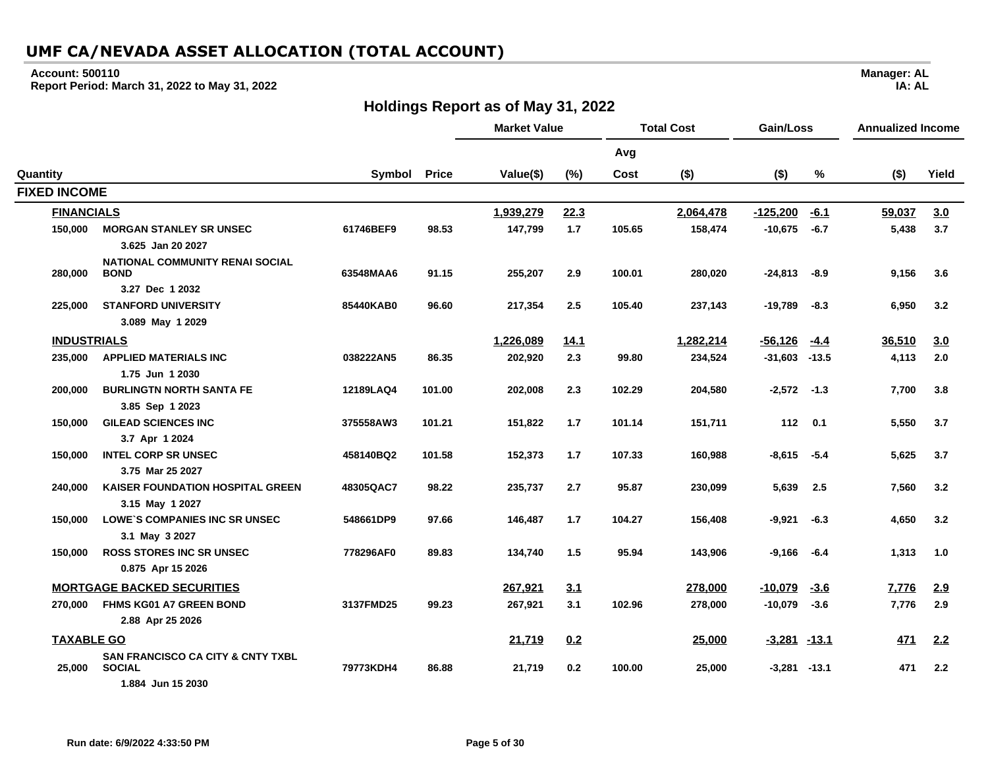#### **Account: 500110**

**Report Period: March 31, 2022 to May 31, 2022**

## **Holdings Report as of May 31, 2022**

**Manager: AL IA: AL**

 $\overline{\phantom{0}}$ 

|                     |                                                             |           |              | <b>Market Value</b> |       | <b>Total Cost</b> |           | Gain/Loss        |             | <b>Annualized Income</b> |       |
|---------------------|-------------------------------------------------------------|-----------|--------------|---------------------|-------|-------------------|-----------|------------------|-------------|--------------------------|-------|
|                     |                                                             |           |              |                     |       | Avg               |           |                  |             |                          |       |
| Quantity            |                                                             | Symbol    | <b>Price</b> | Value(\$)           | (%)   | Cost              | $($ \$)   | $($ \$)          | ℅           | $($ \$)                  | Yield |
| <b>FIXED INCOME</b> |                                                             |           |              |                     |       |                   |           |                  |             |                          |       |
| <b>FINANCIALS</b>   |                                                             |           |              | 1,939,279           | 22.3  |                   | 2,064,478 | $-125,200$       | $-6.1$      | 59,037                   | 3.0   |
| 150,000             | <b>MORGAN STANLEY SR UNSEC</b>                              | 61746BEF9 | 98.53        | 147,799             | $1.7$ | 105.65            | 158,474   | $-10,675$        | $-6.7$      | 5,438                    | 3.7   |
|                     | 3.625 Jan 20 2027                                           |           |              |                     |       |                   |           |                  |             |                          |       |
| 280,000             | <b>NATIONAL COMMUNITY RENAI SOCIAL</b><br><b>BOND</b>       | 63548MAA6 | 91.15        | 255,207             | 2.9   | 100.01            | 280,020   | $-24,813$        | -8.9        | 9,156                    | 3.6   |
|                     | 3.27 Dec 1 2032                                             |           |              |                     |       |                   |           |                  |             |                          |       |
| 225,000             | <b>STANFORD UNIVERSITY</b>                                  | 85440KAB0 | 96.60        | 217,354             | 2.5   | 105.40            | 237,143   | $-19,789$        | $-8.3$      | 6,950                    | 3.2   |
|                     | 3.089 May 1 2029                                            |           |              |                     |       |                   |           |                  |             |                          |       |
| <b>INDUSTRIALS</b>  |                                                             |           |              | 1,226,089           | 14.1  |                   | 1,282,214 | $-56, 126$       | -4.4        | 36,510                   | 3.0   |
| 235,000             | <b>APPLIED MATERIALS INC</b>                                | 038222AN5 | 86.35        | 202,920             | 2.3   | 99.80             | 234,524   | $-31,603$        | $-13.5$     | 4,113                    | 2.0   |
|                     | 1.75 Jun 1 2030                                             |           |              |                     |       |                   |           |                  |             |                          |       |
| 200,000             | <b>BURLINGTN NORTH SANTA FE</b>                             | 12189LAQ4 | 101.00       | 202,008             | 2.3   | 102.29            | 204,580   | $-2,572$         | $-1.3$      | 7,700                    | 3.8   |
|                     | 3.85 Sep 1 2023                                             |           |              |                     |       |                   |           |                  |             |                          |       |
| 150,000             | <b>GILEAD SCIENCES INC</b>                                  | 375558AW3 | 101.21       | 151,822             | 1.7   | 101.14            | 151,711   | 112              | 0.1         | 5,550                    | 3.7   |
|                     | 3.7 Apr 1 2024                                              |           |              |                     |       |                   |           |                  |             |                          |       |
| 150,000             | <b>INTEL CORP SR UNSEC</b>                                  | 458140BQ2 | 101.58       | 152,373             | 1.7   | 107.33            | 160,988   | $-8,615$         | $-5.4$      | 5,625                    | 3.7   |
|                     | 3.75 Mar 25 2027<br><b>KAISER FOUNDATION HOSPITAL GREEN</b> |           |              |                     | 2.7   |                   |           |                  |             |                          |       |
| 240,000             | 3.15 May 1 2027                                             | 48305QAC7 | 98.22        | 235,737             |       | 95.87             | 230,099   | 5,639            | 2.5         | 7,560                    | 3.2   |
| 150,000             | <b>LOWE'S COMPANIES INC SR UNSEC</b>                        | 548661DP9 | 97.66        | 146,487             | 1.7   | 104.27            | 156,408   | -9,921           | $-6.3$      | 4,650                    | 3.2   |
|                     | 3.1 May 3 2027                                              |           |              |                     |       |                   |           |                  |             |                          |       |
| 150,000             | <b>ROSS STORES INC SR UNSEC</b>                             | 778296AF0 | 89.83        | 134,740             | 1.5   | 95.94             | 143,906   | $-9,166$         | $-6.4$      | 1,313                    | 1.0   |
|                     | 0.875 Apr 15 2026                                           |           |              |                     |       |                   |           |                  |             |                          |       |
|                     | <b>MORTGAGE BACKED SECURITIES</b>                           |           |              | 267,921             | 3.1   |                   | 278,000   | $-10,079$        | <u>-3.6</u> | 7,776                    | 2.9   |
| 270,000             | <b>FHMS KG01 A7 GREEN BOND</b>                              | 3137FMD25 | 99.23        | 267,921             | 3.1   | 102.96            | 278,000   | $-10,079$        | $-3.6$      | 7,776                    | 2.9   |
|                     | 2.88 Apr 25 2026                                            |           |              |                     |       |                   |           |                  |             |                          |       |
| <b>TAXABLE GO</b>   |                                                             |           |              | 21,719              | 0.2   |                   | 25,000    | $-3,281$ $-13.1$ |             | 471                      | 2.2   |
|                     | SAN FRANCISCO CA CITY & CNTY TXBL                           |           |              |                     |       |                   |           |                  |             |                          |       |
| 25,000              | <b>SOCIAL</b>                                               | 79773KDH4 | 86.88        | 21,719              | 0.2   | 100.00            | 25,000    | -3,281           | $-13.1$     | 471                      | 2.2   |
|                     | 1.884 Jun 15 2030                                           |           |              |                     |       |                   |           |                  |             |                          |       |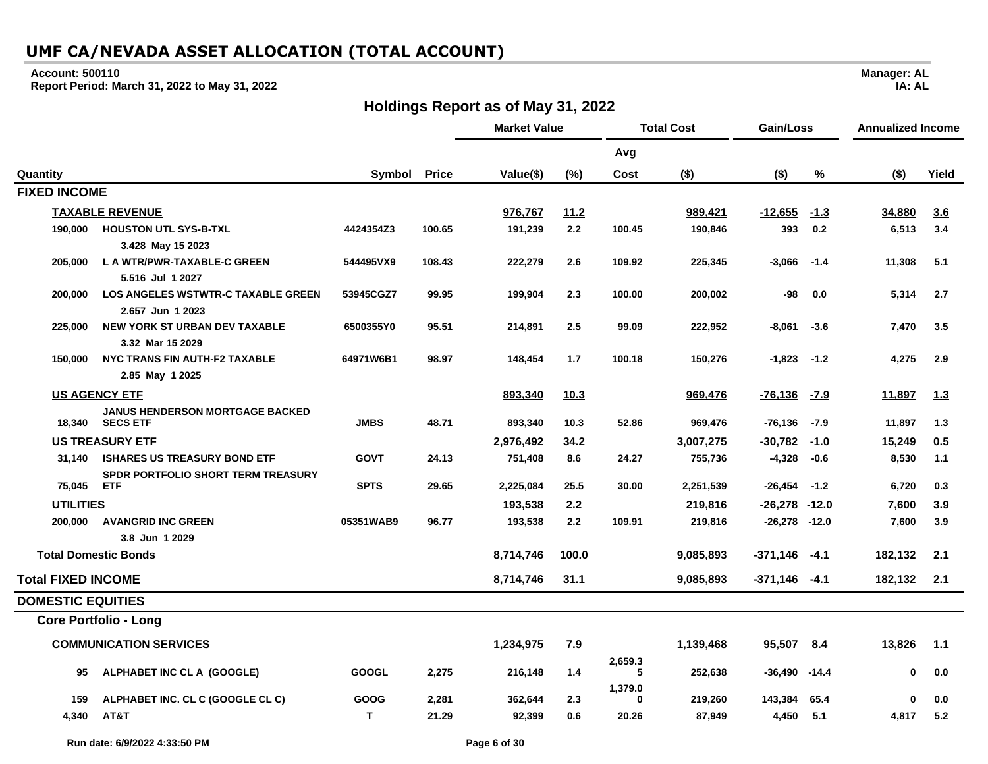#### **Account: 500110**

**Report Period: March 31, 2022 to May 31, 2022**

## **Holdings Report as of May 31, 2022**

|                           |                                                           |              |              | <b>Market Value</b> |            | <b>Total Cost</b> |           | Gain/Loss         |              | <b>Annualized Income</b> |            |
|---------------------------|-----------------------------------------------------------|--------------|--------------|---------------------|------------|-------------------|-----------|-------------------|--------------|--------------------------|------------|
|                           |                                                           |              |              |                     |            | Avg               |           |                   |              |                          |            |
| Quantity                  |                                                           | Symbol       | <b>Price</b> | Value(\$)           | (%)        | Cost              | $($ \$)   | $($ \$)           | %            | $($ \$)                  | Yield      |
| <b>FIXED INCOME</b>       |                                                           |              |              |                     |            |                   |           |                   |              |                          |            |
|                           | <b>TAXABLE REVENUE</b>                                    |              |              | 976,767             | 11.2       |                   | 989,421   | $-12,655$         | $-1.3$       | 34,880                   | 3.6        |
| 190,000                   | <b>HOUSTON UTL SYS-B-TXL</b>                              | 4424354Z3    | 100.65       | 191,239             | 2.2        | 100.45            | 190,846   | 393               | 0.2          | 6,513                    | 3.4        |
|                           | 3.428 May 15 2023                                         |              |              |                     |            |                   |           |                   |              |                          |            |
| 205,000                   | L A WTR/PWR-TAXABLE-C GREEN<br>5.516 Jul 1 2027           | 544495VX9    | 108.43       | 222,279             | 2.6        | 109.92            | 225,345   | $-3,066$          | $-1.4$       | 11,308                   | 5.1        |
| 200,000                   | <b>LOS ANGELES WSTWTR-C TAXABLE GREEN</b>                 | 53945CGZ7    | 99.95        | 199,904             | 2.3        | 100.00            | 200,002   | -98               | 0.0          | 5,314                    | 2.7        |
|                           | 2.657 Jun 1 2023                                          |              |              |                     |            |                   |           |                   |              |                          |            |
| 225,000                   | <b>NEW YORK ST URBAN DEV TAXABLE</b>                      | 6500355Y0    | 95.51        | 214,891             | 2.5        | 99.09             | 222,952   | $-8,061$          | $-3.6$       | 7,470                    | 3.5        |
|                           | 3.32 Mar 15 2029                                          |              |              |                     |            |                   |           |                   |              |                          |            |
| 150,000                   | NYC TRANS FIN AUTH-F2 TAXABLE                             | 64971W6B1    | 98.97        | 148,454             | 1.7        | 100.18            | 150,276   | $-1,823$          | $-1.2$       | 4,275                    | 2.9        |
|                           | 2.85 May 1 2025                                           |              |              |                     |            |                   |           |                   |              |                          |            |
|                           | <b>US AGENCY ETF</b>                                      |              |              | 893,340             | 10.3       |                   | 969,476   | $-76,136$         | <u>-7.9</u>  | 11,897                   | <u>1.3</u> |
|                           | <b>JANUS HENDERSON MORTGAGE BACKED</b><br>18,340 SECS ETF | <b>JMBS</b>  | 48.71        | 893,340             | 10.3       | 52.86             | 969,476   | -76,136           | -7.9         | 11,897                   | 1.3        |
|                           | <b>US TREASURY ETF</b>                                    |              |              | 2,976,492           | 34.2       |                   | 3.007.275 | $-30,782$         | $-1.0$       | 15,249                   | 0.5        |
| 31.140                    | <b>ISHARES US TREASURY BOND ETF</b>                       | <b>GOVT</b>  | 24.13        | 751,408             | 8.6        | 24.27             | 755,736   | $-4,328$          | $-0.6$       | 8,530                    | 1.1        |
| 75,045                    | <b>SPDR PORTFOLIO SHORT TERM TREASURY</b><br><b>ETF</b>   | <b>SPTS</b>  | 29.65        | 2,225,084           | 25.5       | 30.00             | 2,251,539 | $-26,454$         | $-1.2$       | 6,720                    | 0.3        |
| <b>UTILITIES</b>          |                                                           |              |              | 193,538             | 2.2        |                   | 219,816   | <u>-26,278</u>    | <u>-12.0</u> | 7,600                    | 3.9        |
| 200,000                   | <b>AVANGRID INC GREEN</b><br>3.8 Jun 1 2029               | 05351WAB9    | 96.77        | 193,538             | 2.2        | 109.91            | 219,816   | $-26,278$ $-12.0$ |              | 7,600                    | 3.9        |
|                           | <b>Total Domestic Bonds</b>                               |              |              | 8,714,746           | 100.0      |                   | 9,085,893 | -371,146          | -4.1         | 182,132                  | 2.1        |
| <b>Total FIXED INCOME</b> |                                                           |              |              | 8,714,746           | 31.1       |                   | 9,085,893 | $-371,146$ $-4.1$ |              | 182,132                  | 2.1        |
| <b>DOMESTIC EQUITIES</b>  |                                                           |              |              |                     |            |                   |           |                   |              |                          |            |
|                           | <b>Core Portfolio - Long</b>                              |              |              |                     |            |                   |           |                   |              |                          |            |
|                           | <b>COMMUNICATION SERVICES</b>                             |              |              | 1,234,975           | <u>7.9</u> |                   | 1,139,468 | 95,507            | 8.4          | 13,826                   | 1.1        |
| 95                        | ALPHABET INC CL A (GOOGLE)                                | <b>GOOGL</b> | 2,275        | 216,148             | 1.4        | 2,659.3<br>5      | 252,638   | -36,490           | $-14.4$      | 0                        | 0.0        |
| 159                       | ALPHABET INC. CL C (GOOGLE CL C)                          | <b>GOOG</b>  | 2,281        | 362,644             | 2.3        | 1,379.0<br>0      | 219,260   | 143,384           | 65.4         | $\mathbf{0}$             | 0.0        |
| 4,340                     | AT&T                                                      | T.           | 21.29        | 92,399              | 0.6        | 20.26             | 87,949    | 4,450             | 5.1          | 4,817                    | 5.2        |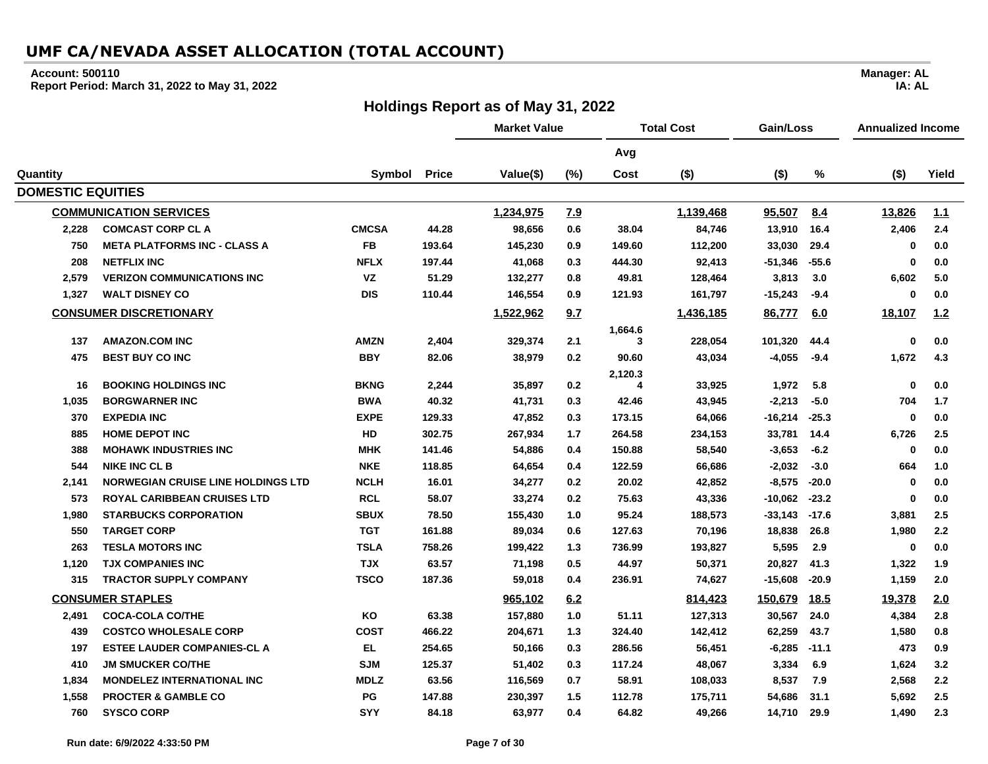#### **Account: 500110**

**Report Period: March 31, 2022 to May 31, 2022**

## **Holdings Report as of May 31, 2022**

**Manager: AL**

**IA: AL**

|                          |                                           |              |              | <b>Market Value</b> |     |              | <b>Total Cost</b><br>Gain/Loss |           |             | <b>Annualized Income</b> |       |
|--------------------------|-------------------------------------------|--------------|--------------|---------------------|-----|--------------|--------------------------------|-----------|-------------|--------------------------|-------|
|                          |                                           |              |              |                     |     | Avg          |                                |           |             |                          |       |
| Quantity                 |                                           | Symbol       | <b>Price</b> | Value(\$)           | (%) | Cost         | $($ \$)                        | $($ \$)   | $\%$        | $($ \$)                  | Yield |
| <b>DOMESTIC EQUITIES</b> |                                           |              |              |                     |     |              |                                |           |             |                          |       |
|                          | <b>COMMUNICATION SERVICES</b>             |              |              | 1,234,975           | 7.9 |              | 1,139,468                      | 95,507    | 8.4         | 13,826                   | 1.1   |
| 2,228                    | <b>COMCAST CORP CL A</b>                  | <b>CMCSA</b> | 44.28        | 98,656              | 0.6 | 38.04        | 84,746                         | 13,910    | 16.4        | 2,406                    | 2.4   |
| 750                      | <b>META PLATFORMS INC - CLASS A</b>       | <b>FB</b>    | 193.64       | 145,230             | 0.9 | 149.60       | 112,200                        | 33,030    | 29.4        | $\mathbf 0$              | 0.0   |
| 208                      | <b>NETFLIX INC</b>                        | <b>NFLX</b>  | 197.44       | 41,068              | 0.3 | 444.30       | 92,413                         | $-51,346$ | $-55.6$     | 0                        | 0.0   |
| 2,579                    | <b>VERIZON COMMUNICATIONS INC</b>         | <b>VZ</b>    | 51.29        | 132,277             | 0.8 | 49.81        | 128,464                        | 3,813     | 3.0         | 6,602                    | 5.0   |
| 1,327                    | <b>WALT DISNEY CO</b>                     | <b>DIS</b>   | 110.44       | 146,554             | 0.9 | 121.93       | 161,797                        | $-15,243$ | $-9.4$      | 0                        | 0.0   |
|                          | <b>CONSUMER DISCRETIONARY</b>             |              |              | 1,522,962           | 9.7 |              | 1,436,185                      | 86,777    | 6.0         | 18,107                   | 1.2   |
|                          |                                           |              |              |                     |     | 1,664.6      |                                |           |             |                          |       |
| 137                      | <b>AMAZON.COM INC</b>                     | <b>AMZN</b>  | 2,404        | 329,374             | 2.1 | 3            | 228,054                        | 101,320   | 44.4        | $\mathbf 0$              | 0.0   |
| 475                      | <b>BEST BUY CO INC</b>                    | <b>BBY</b>   | 82.06        | 38,979              | 0.2 | 90.60        | 43,034                         | $-4,055$  | $-9.4$      | 1,672                    | 4.3   |
| 16                       | <b>BOOKING HOLDINGS INC</b>               | <b>BKNG</b>  | 2,244        | 35,897              | 0.2 | 2,120.3<br>4 | 33,925                         | 1,972     | 5.8         | $\mathbf 0$              | 0.0   |
| 1,035                    | <b>BORGWARNER INC</b>                     | <b>BWA</b>   | 40.32        | 41,731              | 0.3 | 42.46        | 43,945                         | $-2,213$  | $-5.0$      | 704                      | 1.7   |
| 370                      | <b>EXPEDIA INC</b>                        | <b>EXPE</b>  | 129.33       | 47,852              | 0.3 | 173.15       | 64,066                         | $-16,214$ | $-25.3$     | $\mathbf 0$              | 0.0   |
| 885                      | <b>HOME DEPOT INC</b>                     | HD           | 302.75       | 267,934             | 1.7 | 264.58       | 234,153                        | 33,781    | 14.4        | 6,726                    | 2.5   |
| 388                      | <b>MOHAWK INDUSTRIES INC</b>              | <b>MHK</b>   | 141.46       | 54,886              | 0.4 | 150.88       | 58,540                         | $-3,653$  | $-6.2$      | $\mathbf 0$              | 0.0   |
| 544                      | <b>NIKE INC CL B</b>                      | <b>NKE</b>   | 118.85       | 64,654              | 0.4 | 122.59       | 66,686                         | $-2,032$  | $-3.0$      | 664                      | 1.0   |
| 2,141                    | <b>NORWEGIAN CRUISE LINE HOLDINGS LTD</b> | <b>NCLH</b>  | 16.01        | 34,277              | 0.2 | 20.02        | 42,852                         | $-8,575$  | $-20.0$     | $\mathbf 0$              | 0.0   |
| 573                      | <b>ROYAL CARIBBEAN CRUISES LTD</b>        | <b>RCL</b>   | 58.07        | 33,274              | 0.2 | 75.63        | 43,336                         | $-10,062$ | $-23.2$     | $\mathbf 0$              | 0.0   |
| 1,980                    | <b>STARBUCKS CORPORATION</b>              | <b>SBUX</b>  | 78.50        | 155,430             | 1.0 | 95.24        | 188,573                        | $-33,143$ | $-17.6$     | 3,881                    | 2.5   |
| 550                      | <b>TARGET CORP</b>                        | <b>TGT</b>   | 161.88       | 89,034              | 0.6 | 127.63       | 70,196                         | 18,838    | 26.8        | 1,980                    | 2.2   |
| 263                      | <b>TESLA MOTORS INC</b>                   | <b>TSLA</b>  | 758.26       | 199,422             | 1.3 | 736.99       | 193,827                        | 5,595     | 2.9         | 0                        | 0.0   |
| 1,120                    | <b>TJX COMPANIES INC</b>                  | <b>XLT</b>   | 63.57        | 71,198              | 0.5 | 44.97        | 50,371                         | 20,827    | 41.3        | 1,322                    | 1.9   |
| 315                      | <b>TRACTOR SUPPLY COMPANY</b>             | <b>TSCO</b>  | 187.36       | 59,018              | 0.4 | 236.91       | 74,627                         | $-15,608$ | $-20.9$     | 1,159                    | 2.0   |
|                          | <b>CONSUMER STAPLES</b>                   |              |              | 965,102             | 6.2 |              | 814,423                        | 150,679   | <u>18.5</u> | 19,378                   | 2.0   |
| 2,491                    | <b>COCA-COLA CO/THE</b>                   | KO           | 63.38        | 157,880             | 1.0 | 51.11        | 127,313                        | 30,567    | 24.0        | 4,384                    | 2.8   |
| 439                      | <b>COSTCO WHOLESALE CORP</b>              | <b>COST</b>  | 466.22       | 204,671             | 1.3 | 324.40       | 142,412                        | 62,259    | 43.7        | 1,580                    | 0.8   |
| 197                      | <b>ESTEE LAUDER COMPANIES-CL A</b>        | EL           | 254.65       | 50,166              | 0.3 | 286.56       | 56,451                         | $-6,285$  | $-11.1$     | 473                      | 0.9   |
| 410                      | <b>JM SMUCKER CO/THE</b>                  | <b>SJM</b>   | 125.37       | 51,402              | 0.3 | 117.24       | 48,067                         | 3,334     | 6.9         | 1,624                    | 3.2   |
| 1,834                    | <b>MONDELEZ INTERNATIONAL INC</b>         | <b>MDLZ</b>  | 63.56        | 116,569             | 0.7 | 58.91        | 108,033                        | 8,537     | 7.9         | 2,568                    | 2.2   |
| 1,558                    | <b>PROCTER &amp; GAMBLE CO</b>            | PG           | 147.88       | 230,397             | 1.5 | 112.78       | 175,711                        | 54,686    | 31.1        | 5,692                    | 2.5   |
| 760                      | <b>SYSCO CORP</b>                         | SYY          | 84.18        | 63,977              | 0.4 | 64.82        | 49,266                         | 14,710    | 29.9        | 1,490                    | 2.3   |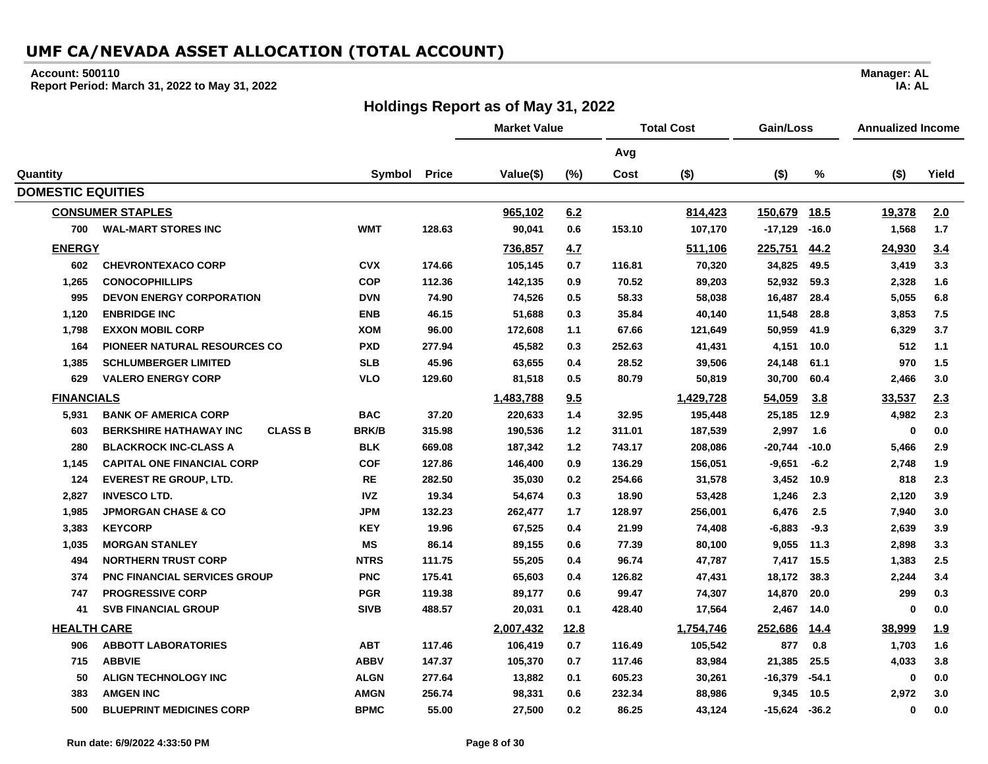#### **Account: 500110**

**Report Period: March 31, 2022 to May 31, 2022**

## **Holdings Report as of May 31, 2022**

|                          |                                                 |              |              | <b>Market Value</b> |             |        | <b>Total Cost</b> | Gain/Loss |             | Annualized Income |            |
|--------------------------|-------------------------------------------------|--------------|--------------|---------------------|-------------|--------|-------------------|-----------|-------------|-------------------|------------|
|                          |                                                 |              |              |                     |             | Avg    |                   |           |             |                   |            |
| Quantity                 |                                                 | Symbol       | <b>Price</b> | Value(\$)           | (%)         | Cost   | $($ \$)           | $($ \$)   | %           | $($ \$)           | Yield      |
| <b>DOMESTIC EQUITIES</b> |                                                 |              |              |                     |             |        |                   |           |             |                   |            |
|                          | <b>CONSUMER STAPLES</b>                         |              |              | 965,102             | 6.2         |        | 814,423           | 150,679   | <u>18.5</u> | 19,378            | 2.0        |
| 700                      | <b>WAL-MART STORES INC</b>                      | <b>WMT</b>   | 128.63       | 90,041              | 0.6         | 153.10 | 107,170           | $-17,129$ | $-16.0$     | 1,568             | 1.7        |
| <b>ENERGY</b>            |                                                 |              |              | 736,857             | 4.7         |        | 511,106           | 225,751   | 44.2        | 24,930            | 3.4        |
| 602                      | <b>CHEVRONTEXACO CORP</b>                       | <b>CVX</b>   | 174.66       | 105.145             | 0.7         | 116.81 | 70,320            | 34,825    | 49.5        | 3,419             | 3.3        |
| 1,265                    | <b>CONOCOPHILLIPS</b>                           | <b>COP</b>   | 112.36       | 142,135             | 0.9         | 70.52  | 89,203            | 52,932    | 59.3        | 2,328             | 1.6        |
| 995                      | <b>DEVON ENERGY CORPORATION</b>                 | <b>DVN</b>   | 74.90        | 74,526              | 0.5         | 58.33  | 58,038            | 16,487    | 28.4        | 5,055             | 6.8        |
| 1,120                    | <b>ENBRIDGE INC</b>                             | <b>ENB</b>   | 46.15        | 51,688              | 0.3         | 35.84  | 40,140            | 11,548    | 28.8        | 3,853             | 7.5        |
| 1,798                    | <b>EXXON MOBIL CORP</b>                         | <b>XOM</b>   | 96.00        | 172,608             | 1.1         | 67.66  | 121,649           | 50,959    | 41.9        | 6,329             | 3.7        |
| 164                      | PIONEER NATURAL RESOURCES CO                    | <b>PXD</b>   | 277.94       | 45,582              | 0.3         | 252.63 | 41,431            | 4,151     | 10.0        | 512               | 1.1        |
| 1,385                    | <b>SCHLUMBERGER LIMITED</b>                     | <b>SLB</b>   | 45.96        | 63,655              | 0.4         | 28.52  | 39,506            | 24,148    | 61.1        | 970               | 1.5        |
| 629                      | <b>VALERO ENERGY CORP</b>                       | <b>VLO</b>   | 129.60       | 81,518              | 0.5         | 80.79  | 50,819            | 30,700    | 60.4        | 2,466             | 3.0        |
| <b>FINANCIALS</b>        |                                                 |              |              | 1,483,788           | 9.5         |        | 1,429,728         | 54,059    | 3.8         | 33,537            | 2.3        |
| 5,931                    | <b>BANK OF AMERICA CORP</b>                     | <b>BAC</b>   | 37.20        | 220,633             | 1.4         | 32.95  | 195,448           | 25,185    | 12.9        | 4,982             | 2.3        |
| 603                      | <b>CLASS B</b><br><b>BERKSHIRE HATHAWAY INC</b> | <b>BRK/B</b> | 315.98       | 190,536             | $1.2$       | 311.01 | 187,539           | 2,997     | 1.6         | $\bf{0}$          | 0.0        |
| 280                      | <b>BLACKROCK INC-CLASS A</b>                    | <b>BLK</b>   | 669.08       | 187,342             | $1.2$       | 743.17 | 208,086           | $-20,744$ | $-10.0$     | 5,466             | 2.9        |
| 1,145                    | <b>CAPITAL ONE FINANCIAL CORP</b>               | <b>COF</b>   | 127.86       | 146,400             | 0.9         | 136.29 | 156,051           | $-9,651$  | $-6.2$      | 2,748             | 1.9        |
| 124                      | <b>EVEREST RE GROUP, LTD.</b>                   | <b>RE</b>    | 282.50       | 35,030              | 0.2         | 254.66 | 31,578            | 3,452     | 10.9        | 818               | 2.3        |
| 2,827                    | <b>INVESCO LTD.</b>                             | <b>IVZ</b>   | 19.34        | 54,674              | 0.3         | 18.90  | 53,428            | 1,246     | 2.3         | 2,120             | 3.9        |
| 1,985                    | <b>JPMORGAN CHASE &amp; CO</b>                  | <b>JPM</b>   | 132.23       | 262,477             | 1.7         | 128.97 | 256,001           | 6,476     | 2.5         | 7,940             | 3.0        |
| 3,383                    | <b>KEYCORP</b>                                  | <b>KEY</b>   | 19.96        | 67,525              | 0.4         | 21.99  | 74,408            | $-6,883$  | $-9.3$      | 2,639             | 3.9        |
| 1,035                    | <b>MORGAN STANLEY</b>                           | ΜS           | 86.14        | 89,155              | 0.6         | 77.39  | 80,100            | 9,055     | 11.3        | 2,898             | 3.3        |
| 494                      | <b>NORTHERN TRUST CORP</b>                      | <b>NTRS</b>  | 111.75       | 55,205              | 0.4         | 96.74  | 47,787            | 7,417     | 15.5        | 1,383             | 2.5        |
| 374                      | <b>PNC FINANCIAL SERVICES GROUP</b>             | <b>PNC</b>   | 175.41       | 65,603              | 0.4         | 126.82 | 47,431            | 18,172    | 38.3        | 2,244             | 3.4        |
| 747                      | <b>PROGRESSIVE CORP</b>                         | <b>PGR</b>   | 119.38       | 89,177              | 0.6         | 99.47  | 74,307            | 14,870    | 20.0        | 299               | 0.3        |
| 41                       | <b>SVB FINANCIAL GROUP</b>                      | <b>SIVB</b>  | 488.57       | 20,031              | 0.1         | 428.40 | 17,564            | 2,467     | 14.0        | $\mathbf{0}$      | 0.0        |
| <b>HEALTH CARE</b>       |                                                 |              |              | 2,007,432           | <u>12.8</u> |        | 1,754,746         | 252,686   | <u>14.4</u> | 38,999            | <u>1.9</u> |
| 906                      | <b>ABBOTT LABORATORIES</b>                      | <b>ABT</b>   | 117.46       | 106,419             | 0.7         | 116.49 | 105,542           | 877       | 0.8         | 1,703             | 1.6        |
| 715                      | <b>ABBVIE</b>                                   | <b>ABBV</b>  | 147.37       | 105,370             | 0.7         | 117.46 | 83,984            | 21,385    | 25.5        | 4,033             | 3.8        |
| 50                       | <b>ALIGN TECHNOLOGY INC</b>                     | <b>ALGN</b>  | 277.64       | 13,882              | 0.1         | 605.23 | 30,261            | $-16,379$ | $-54.1$     | 0                 | 0.0        |
| 383                      | <b>AMGEN INC</b>                                | <b>AMGN</b>  | 256.74       | 98,331              | 0.6         | 232.34 | 88,986            | 9,345     | 10.5        | 2,972             | 3.0        |
| 500                      | <b>BLUEPRINT MEDICINES CORP</b>                 | <b>BPMC</b>  | 55.00        | 27,500              | 0.2         | 86.25  | 43,124            | -15,624   | $-36.2$     | $\bf{0}$          | 0.0        |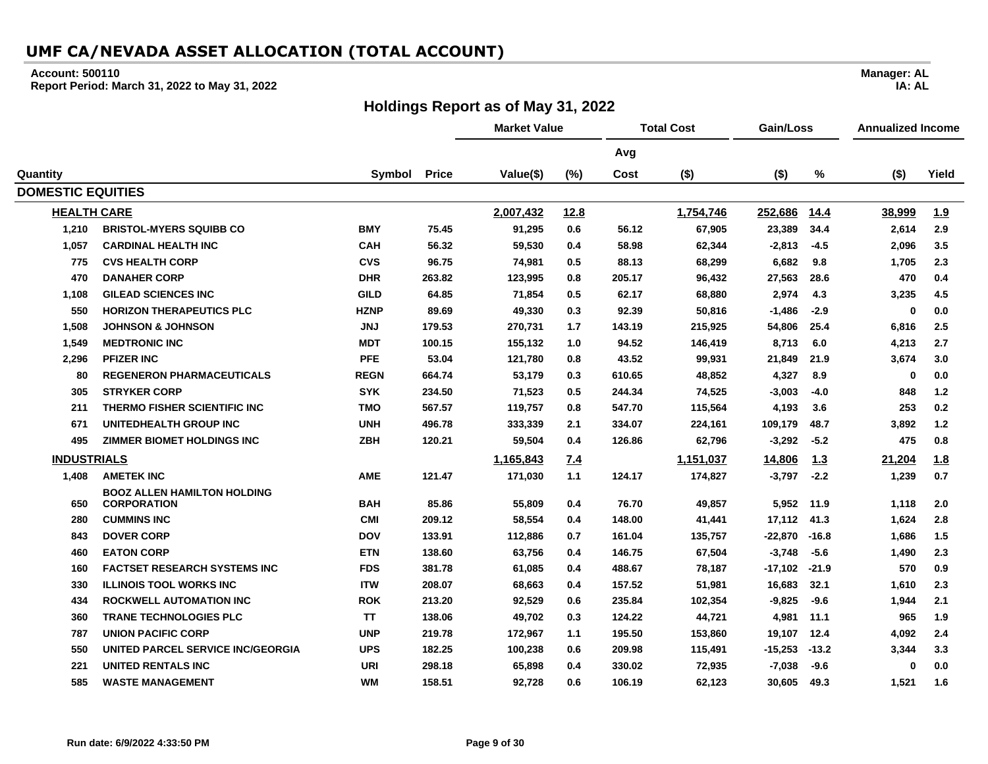#### **Account: 500110**

**Report Period: March 31, 2022 to May 31, 2022**

#### **Holdings Report as of May 31, 2022**

**Avg Quantity Symbol Price Value(\$) (%) Cost (\$) (\$) % (\$) Yield DOMESTIC EQUITIES HEALTH CARE 2,007,432 12.8 1,754,746 252,686 14.4 38,999 1.9 1,210 BRISTOL-MYERS SQUIBB CO BMY 75.45 91,295 0.6 56.12 67,905 23,389 34.4 2,614 2.9 1,057 CARDINAL HEALTH INC CAH 56.32 59,530 0.4 58.98 62,344 -2,813 -4.5 2,096 3.5 775 CVS HEALTH CORP CVS 96.75 74,981 0.5 88.13 68,299 6,682 9.8 1,705 2.3 470 DANAHER CORP DHR 263.82 123,995 0.8 205.17 96,432 27,563 28.6 470 0.4 1,108 GILEAD SCIENCES INC GILD 64.85 71,854 0.5 62.17 68,880 2,974 4.3 3,235 4.5 550 HORIZON THERAPEUTICS PLC HZNP 89.69 49,330 0.3 92.39 50,816 -1,486 -2.9 0 0.0 1,508 JOHNSON & JOHNSON JNJ 179.53 270,731 1.7 143.19 215,925 54,806 25.4 6,816 2.5 1,549 MEDTRONIC INC MDT 100.15 155,132 1.0 94.52 146,419 8,713 6.0 4,213 2.7 2,296 PFIZER INC PFE 53.04 121,780 0.8 43.52 99,931 21,849 21.9 3,674 3.0 80 REGENERON PHARMACEUTICALS REGN 664.74 53,179 0.3 610.65 48,852 4,327 8.9 0 0.0 305 STRYKER CORP SYK 234.50 71,523 0.5 244.34 74,525 -3,003 -4.0 848 1.2 211 THERMO FISHER SCIENTIFIC INC TMO 567.57 119,757 0.8 547.70 115,564 4,193 3.6 253 0.2 671 UNITEDHEALTH GROUP INC UNH 496.78 333,339 2.1 334.07 224,161 109,179 48.7 3,892 1.2 495 ZIMMER BIOMET HOLDINGS INC ZBH 120.21 59,504 0.4 126.86 62,796 -3,292 -5.2 475 0.8 INDUSTRIALS 1,165,843 7.4 1,151,037 14,806 1.3 21,204 1.8 1,408 AMETEK INC AME 121.47 171,030 1.1 124.17 174,827 -3,797 -2.2 1,239 0.7 650 BOOZ ALLEN HAMILTON HOLDING CORPORATION BAH 85.86 55,809 0.4 76.70 49,857 5,952 11.9 1,118 2.0 280 CUMMINS INC CMI 209.12 58,554 0.4 148.00 41,441 17,112 41.3 1,624 2.8 843 DOVER CORP DOV 133.91 112,886 0.7 161.04 135,757 -22,870 -16.8 1,686 1.5 460 EATON CORP ETN 138.60 63,756 0.4 146.75 67,504 -3,748 -5.6 1,490 2.3 160 FACTSET RESEARCH SYSTEMS INC FDS 381.78 61,085 0.4 488.67 78,187 -17,102 -21.9 570 0.9 330 ILLINOIS TOOL WORKS INC ITW 208.07 68,663 0.4 157.52 51,981 16,683 32.1 1,610 2.3 434 ROCKWELL AUTOMATION INC ROK 213.20 92,529 0.6 235.84 102,354 -9,825 -9.6 1,944 2.1 360 TRANE TECHNOLOGIES PLC TT 138.06 49,702 0.3 124.22 44,721 4,981 11.1 965 1.9 787 UNION PACIFIC CORP UNP 219.78 172,967 1.1 195.50 153,860 19,107 12.4 4,092 2.4 550 UNITED PARCEL SERVICE INC/GEORGIA UPS 182.25 100,238 0.6 209.98 115,491 -15,253 -13.2 3,344 3.3 221 UNITED RENTALS INC URI 298.18 65,898 0.4 330.02 72,935 -7,038 -9.6 0 0.0**

**585 WASTE MANAGEMENT WM 158.51 92,728 0.6 106.19 62,123 30,605 49.3 1,521 1.6**

**Manager: AL IA: AL**

**Market Value Total Cost Gain/Loss Annualized Income**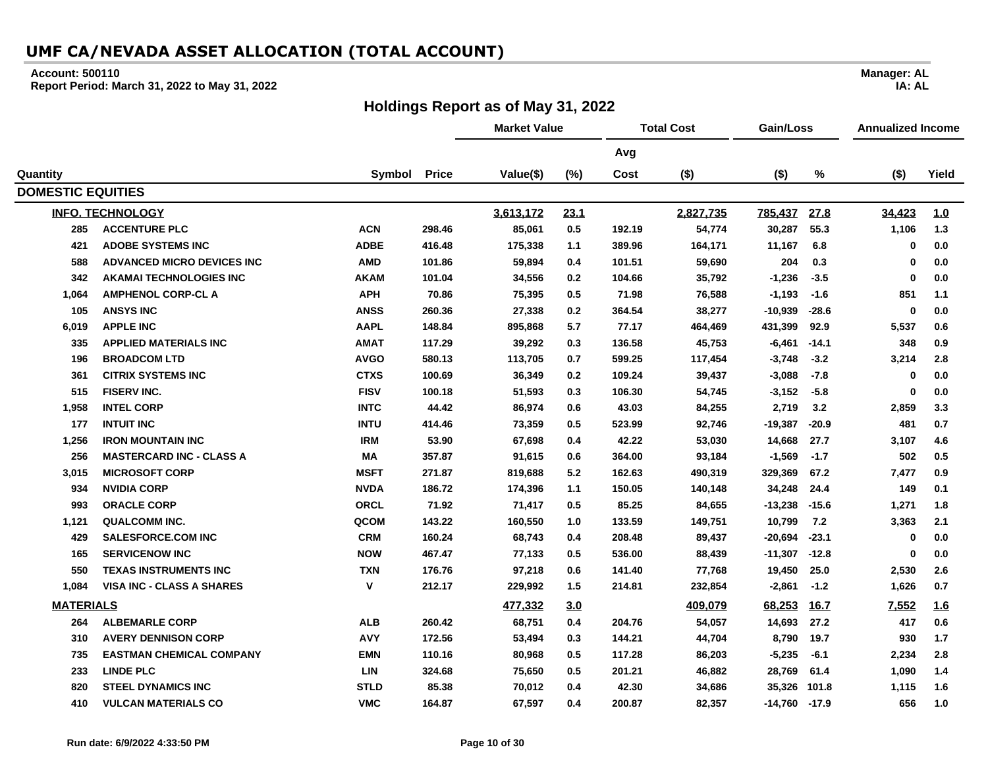#### **Account: 500110**

**Report Period: March 31, 2022 to May 31, 2022**

## **Holdings Report as of May 31, 2022**

|                          |                                   |              |              | <b>Market Value</b> |         |        | <b>Total Cost</b> | Gain/Loss         |             | <b>Annualized Income</b> |            |
|--------------------------|-----------------------------------|--------------|--------------|---------------------|---------|--------|-------------------|-------------------|-------------|--------------------------|------------|
|                          |                                   |              |              |                     |         | Avg    |                   |                   |             |                          |            |
| Quantity                 |                                   | Symbol       | <b>Price</b> | Value(\$)           | (%)     | Cost   | $($ \$)           | $($ \$)           | $\%$        | $($ \$)                  | Yield      |
| <b>DOMESTIC EQUITIES</b> |                                   |              |              |                     |         |        |                   |                   |             |                          |            |
|                          | <b>INFO. TECHNOLOGY</b>           |              |              | 3,613,172           | 23.1    |        | 2,827,735         | 785,437           | 27.8        | 34,423                   | 1.0        |
| 285                      | <b>ACCENTURE PLC</b>              | <b>ACN</b>   | 298.46       | 85,061              | $0.5\,$ | 192.19 | 54,774            | 30,287            | 55.3        | 1,106                    | $1.3$      |
| 421                      | <b>ADOBE SYSTEMS INC</b>          | <b>ADBE</b>  | 416.48       | 175,338             | 1.1     | 389.96 | 164,171           | 11,167            | 6.8         | 0                        | 0.0        |
| 588                      | <b>ADVANCED MICRO DEVICES INC</b> | <b>AMD</b>   | 101.86       | 59,894              | 0.4     | 101.51 | 59,690            | 204               | 0.3         | $\mathbf 0$              | 0.0        |
| 342                      | <b>AKAMAI TECHNOLOGIES INC</b>    | <b>AKAM</b>  | 101.04       | 34,556              | 0.2     | 104.66 | 35,792            | $-1,236$          | $-3.5$      | $\mathbf 0$              | 0.0        |
| 1,064                    | <b>AMPHENOL CORP-CL A</b>         | <b>APH</b>   | 70.86        | 75,395              | 0.5     | 71.98  | 76,588            | $-1,193$          | $-1.6$      | 851                      | 1.1        |
| 105                      | <b>ANSYS INC</b>                  | <b>ANSS</b>  | 260.36       | 27,338              | 0.2     | 364.54 | 38,277            | $-10,939$         | $-28.6$     | 0                        | 0.0        |
| 6,019                    | <b>APPLE INC</b>                  | <b>AAPL</b>  | 148.84       | 895,868             | 5.7     | 77.17  | 464,469           | 431,399           | 92.9        | 5,537                    | 0.6        |
| 335                      | <b>APPLIED MATERIALS INC</b>      | <b>AMAT</b>  | 117.29       | 39,292              | 0.3     | 136.58 | 45,753            | $-6,461$          | $-14.1$     | 348                      | 0.9        |
| 196                      | <b>BROADCOM LTD</b>               | <b>AVGO</b>  | 580.13       | 113,705             | 0.7     | 599.25 | 117,454           | $-3,748$          | $-3.2$      | 3,214                    | 2.8        |
| 361                      | <b>CITRIX SYSTEMS INC</b>         | <b>CTXS</b>  | 100.69       | 36,349              | 0.2     | 109.24 | 39,437            | $-3,088$          | $-7.8$      | $\mathbf 0$              | 0.0        |
| 515                      | <b>FISERV INC.</b>                | <b>FISV</b>  | 100.18       | 51,593              | 0.3     | 106.30 | 54,745            | $-3,152$          | $-5.8$      | $\mathbf 0$              | 0.0        |
| 1,958                    | <b>INTEL CORP</b>                 | <b>INTC</b>  | 44.42        | 86,974              | 0.6     | 43.03  | 84,255            | 2,719             | 3.2         | 2,859                    | 3.3        |
| 177                      | <b>INTUIT INC</b>                 | <b>INTU</b>  | 414.46       | 73,359              | 0.5     | 523.99 | 92,746            | $-19,387$         | $-20.9$     | 481                      | 0.7        |
| 1,256                    | <b>IRON MOUNTAIN INC</b>          | <b>IRM</b>   | 53.90        | 67,698              | 0.4     | 42.22  | 53,030            | 14,668            | 27.7        | 3,107                    | 4.6        |
| 256                      | <b>MASTERCARD INC - CLASS A</b>   | МA           | 357.87       | 91,615              | 0.6     | 364.00 | 93,184            | $-1,569$          | $-1.7$      | 502                      | 0.5        |
| 3,015                    | <b>MICROSOFT CORP</b>             | <b>MSFT</b>  | 271.87       | 819,688             | 5.2     | 162.63 | 490,319           | 329,369           | 67.2        | 7,477                    | 0.9        |
| 934                      | <b>NVIDIA CORP</b>                | <b>NVDA</b>  | 186.72       | 174,396             | $1.1$   | 150.05 | 140,148           | 34,248            | 24.4        | 149                      | 0.1        |
| 993                      | <b>ORACLE CORP</b>                | <b>ORCL</b>  | 71.92        | 71,417              | 0.5     | 85.25  | 84,655            | $-13,238$         | $-15.6$     | 1,271                    | 1.8        |
| 1,121                    | <b>QUALCOMM INC.</b>              | QCOM         | 143.22       | 160,550             | 1.0     | 133.59 | 149,751           | 10,799            | 7.2         | 3,363                    | 2.1        |
| 429                      | <b>SALESFORCE.COM INC</b>         | <b>CRM</b>   | 160.24       | 68,743              | 0.4     | 208.48 | 89,437            | $-20,694$         | $-23.1$     | 0                        | 0.0        |
| 165                      | <b>SERVICENOW INC</b>             | <b>NOW</b>   | 467.47       | 77,133              | 0.5     | 536.00 | 88,439            | $-11,307$         | $-12.8$     | $\mathbf 0$              | 0.0        |
| 550                      | <b>TEXAS INSTRUMENTS INC</b>      | <b>TXN</b>   | 176.76       | 97,218              | 0.6     | 141.40 | 77,768            | 19,450            | 25.0        | 2,530                    | 2.6        |
| 1,084                    | <b>VISA INC - CLASS A SHARES</b>  | $\mathsf{v}$ | 212.17       | 229,992             | 1.5     | 214.81 | 232,854           | $-2,861$          | $-1.2$      | 1,626                    | 0.7        |
| <b>MATERIALS</b>         |                                   |              |              | 477,332             | 3.0     |        | 409,079           | 68,253            | <b>16.7</b> | 7,552                    | <u>1.6</u> |
| 264                      | <b>ALBEMARLE CORP</b>             | <b>ALB</b>   | 260.42       | 68,751              | 0.4     | 204.76 | 54,057            | 14,693            | 27.2        | 417                      | 0.6        |
| 310                      | <b>AVERY DENNISON CORP</b>        | <b>AVY</b>   | 172.56       | 53,494              | 0.3     | 144.21 | 44,704            | 8,790             | 19.7        | 930                      | 1.7        |
| 735                      | <b>EASTMAN CHEMICAL COMPANY</b>   | <b>EMN</b>   | 110.16       | 80,968              | 0.5     | 117.28 | 86,203            | $-5,235$          | $-6.1$      | 2,234                    | 2.8        |
| 233                      | <b>LINDE PLC</b>                  | <b>LIN</b>   | 324.68       | 75,650              | 0.5     | 201.21 | 46,882            | 28,769            | 61.4        | 1,090                    | 1.4        |
| 820                      | <b>STEEL DYNAMICS INC</b>         | <b>STLD</b>  | 85.38        | 70,012              | 0.4     | 42.30  | 34,686            | 35,326            | 101.8       | 1,115                    | 1.6        |
| 410                      | <b>VULCAN MATERIALS CO</b>        | <b>VMC</b>   | 164.87       | 67,597              | 0.4     | 200.87 | 82,357            | $-14,760$ $-17.9$ |             | 656                      | 1.0        |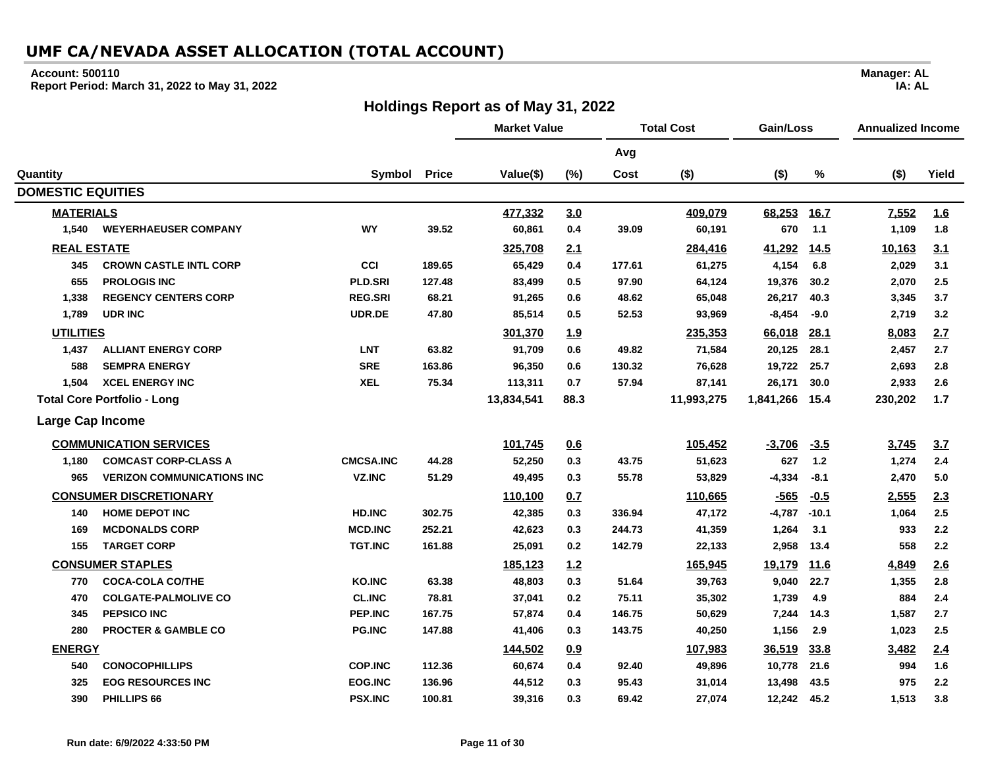#### **Account: 500110**

**Report Period: March 31, 2022 to May 31, 2022**

## **Holdings Report as of May 31, 2022**

|                          |                                    |                  | <b>Market Value</b> |            | <b>Total Cost</b> |        |            | Gain/Loss |             | <b>Annualized Income</b> |       |
|--------------------------|------------------------------------|------------------|---------------------|------------|-------------------|--------|------------|-----------|-------------|--------------------------|-------|
|                          |                                    |                  |                     |            |                   | Avg    |            |           |             |                          |       |
| Quantity                 |                                    | Symbol           | <b>Price</b>        | Value(\$)  | (%)               | Cost   | $($ \$)    | $($ \$)   | $\%$        | $($ \$)                  | Yield |
| <b>DOMESTIC EQUITIES</b> |                                    |                  |                     |            |                   |        |            |           |             |                          |       |
| <b>MATERIALS</b>         |                                    |                  |                     | 477,332    | 3.0               |        | 409,079    | 68,253    | <u>16.7</u> | 7,552                    | 1.6   |
| 1.540                    | <b>WEYERHAEUSER COMPANY</b>        | <b>WY</b>        | 39.52               | 60,861     | 0.4               | 39.09  | 60,191     | 670       | 1.1         | 1,109                    | 1.8   |
| <b>REAL ESTATE</b>       |                                    |                  |                     | 325,708    | 2.1               |        | 284,416    | 41,292    | <u>14.5</u> | 10,163                   | 3.1   |
| 345                      | <b>CROWN CASTLE INTL CORP</b>      | CCI              | 189.65              | 65,429     | 0.4               | 177.61 | 61,275     | 4,154     | 6.8         | 2,029                    | 3.1   |
| 655                      | <b>PROLOGIS INC</b>                | <b>PLD.SRI</b>   | 127.48              | 83,499     | 0.5               | 97.90  | 64,124     | 19,376    | 30.2        | 2,070                    | 2.5   |
| 1,338                    | <b>REGENCY CENTERS CORP</b>        | <b>REG.SRI</b>   | 68.21               | 91,265     | 0.6               | 48.62  | 65,048     | 26,217    | 40.3        | 3,345                    | 3.7   |
| 1,789                    | <b>UDR INC</b>                     | UDR.DE           | 47.80               | 85,514     | 0.5               | 52.53  | 93,969     | $-8,454$  | $-9.0$      | 2,719                    | 3.2   |
| <b>UTILITIES</b>         |                                    |                  |                     | 301,370    | 1.9               |        | 235,353    | 66,018    | 28.1        | 8,083                    | 2.7   |
| 1,437                    | <b>ALLIANT ENERGY CORP</b>         | <b>LNT</b>       | 63.82               | 91,709     | 0.6               | 49.82  | 71,584     | 20,125    | 28.1        | 2,457                    | 2.7   |
| 588                      | <b>SEMPRA ENERGY</b>               | <b>SRE</b>       | 163.86              | 96,350     | 0.6               | 130.32 | 76,628     | 19,722    | 25.7        | 2,693                    | 2.8   |
| 1,504                    | <b>XCEL ENERGY INC</b>             | <b>XEL</b>       | 75.34               | 113,311    | 0.7               | 57.94  | 87,141     | 26,171    | 30.0        | 2,933                    | 2.6   |
|                          | <b>Total Core Portfolio - Long</b> |                  |                     | 13,834,541 | 88.3              |        | 11,993,275 | 1,841,266 | 15.4        | 230,202                  | 1.7   |
| Large Cap Income         |                                    |                  |                     |            |                   |        |            |           |             |                          |       |
|                          | <b>COMMUNICATION SERVICES</b>      |                  |                     | 101,745    | 0.6               |        | 105,452    | $-3,706$  | $-3.5$      | 3,745                    | 3.7   |
| 1,180                    | <b>COMCAST CORP-CLASS A</b>        | <b>CMCSA.INC</b> | 44.28               | 52,250     | 0.3               | 43.75  | 51,623     | 627       | 1.2         | 1,274                    | 2.4   |
| 965                      | <b>VERIZON COMMUNICATIONS INC</b>  | <b>VZ.INC</b>    | 51.29               | 49,495     | 0.3               | 55.78  | 53,829     | $-4,334$  | $-8.1$      | 2,470                    | 5.0   |
|                          | <b>CONSUMER DISCRETIONARY</b>      |                  |                     | 110,100    | 0.7               |        | 110,665    | $-565$    | $-0.5$      | 2,555                    | 2.3   |
| 140                      | <b>HOME DEPOT INC</b>              | <b>HD.INC</b>    | 302.75              | 42,385     | 0.3               | 336.94 | 47,172     | $-4,787$  | $-10.1$     | 1,064                    | 2.5   |
| 169                      | <b>MCDONALDS CORP</b>              | <b>MCD.INC</b>   | 252.21              | 42,623     | 0.3               | 244.73 | 41,359     | 1,264     | 3.1         | 933                      | 2.2   |
| 155                      | <b>TARGET CORP</b>                 | <b>TGT.INC</b>   | 161.88              | 25,091     | 0.2               | 142.79 | 22,133     | 2,958     | 13.4        | 558                      | 2.2   |
|                          | <b>CONSUMER STAPLES</b>            |                  |                     | 185,123    | 1.2               |        | 165,945    | 19,179    | <u>11.6</u> | 4,849                    | 2.6   |
| 770                      | <b>COCA-COLA CO/THE</b>            | <b>KO.INC</b>    | 63.38               | 48,803     | 0.3               | 51.64  | 39,763     | 9,040     | 22.7        | 1,355                    | 2.8   |
| 470                      | <b>COLGATE-PALMOLIVE CO</b>        | <b>CL.INC</b>    | 78.81               | 37,041     | 0.2               | 75.11  | 35,302     | 1,739     | 4.9         | 884                      | 2.4   |
| 345                      | <b>PEPSICO INC</b>                 | PEP.INC          | 167.75              | 57,874     | 0.4               | 146.75 | 50,629     | 7,244     | 14.3        | 1,587                    | 2.7   |
| 280                      | <b>PROCTER &amp; GAMBLE CO</b>     | <b>PG.INC</b>    | 147.88              | 41,406     | 0.3               | 143.75 | 40,250     | 1,156     | 2.9         | 1,023                    | 2.5   |
| <b>ENERGY</b>            |                                    |                  |                     | 144,502    | 0.9               |        | 107,983    | 36,519    | 33.8        | 3,482                    | 2.4   |
| 540                      | <b>CONOCOPHILLIPS</b>              | <b>COP.INC</b>   | 112.36              | 60,674     | 0.4               | 92.40  | 49,896     | 10,778    | 21.6        | 994                      | 1.6   |
| 325                      | <b>EOG RESOURCES INC</b>           | <b>EOG.INC</b>   | 136.96              | 44,512     | 0.3               | 95.43  | 31,014     | 13,498    | 43.5        | 975                      | 2.2   |
| 390                      | PHILLIPS 66                        | <b>PSX.INC</b>   | 100.81              | 39,316     | 0.3               | 69.42  | 27,074     | 12,242    | 45.2        | 1,513                    | 3.8   |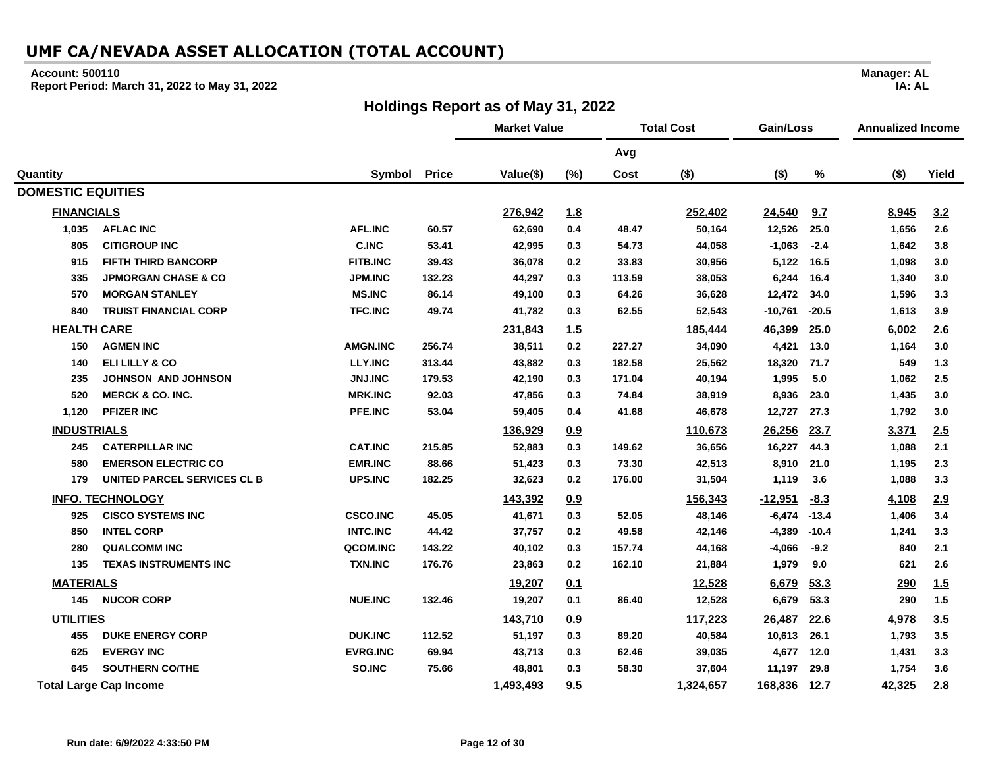#### **Account: 500110**

**DOMESTIC EQUITIES**

**Report Period: March 31, 2022 to May 31, 2022**

#### **Holdings Report as of May 31, 2022**

**Market Value Total Cost Gain/Loss Annualized Income Avg Quantity Symbol Price Value(\$) (%) Cost (\$) (\$) % (\$) Yield FINANCIALS 276,942 1.8 252,402 24,540 9.7 8,945 3.2**

|              |                                |                 |                |                          | <u>.</u> |          | -----   |                | ---         | .,.          | $ -$       |
|--------------|--------------------------------|-----------------|----------------|--------------------------|----------|----------|---------|----------------|-------------|--------------|------------|
| 1,035        | <b>AFLAC INC</b>               | <b>AFL.INC</b>  | 60.57          | 62,690                   | 0.4      | 48.47    | 50,164  | 12,526         | 25.0        | 1,656        | 2.6        |
| 805          | <b>CITIGROUP INC</b>           | <b>C.INC</b>    | 53.41          | 42,995                   | 0.3      | 54.73    | 44,058  | $-1,063$       | $-2.4$      | 1,642        | 3.8        |
| 915          | <b>FIFTH THIRD BANCORP</b>     | <b>FITB.INC</b> | 39.43          | 36,078                   | 0.2      | 33.83    | 30,956  | 5,122          | 16.5        | 1,098        | 3.0        |
| 335          | <b>JPMORGAN CHASE &amp; CO</b> | <b>JPM.INC</b>  | 132.23         | 44,297                   | 0.3      | 113.59   | 38,053  | 6,244          | 16.4        | 1,340        | 3.0        |
| 570          | <b>MORGAN STANLEY</b>          | <b>MS.INC</b>   | 86.14          | 49,100                   | 0.3      | 64.26    | 36,628  | 12,472         | 34.0        | 1,596        | 3.3        |
| 840          | <b>TRUIST FINANCIAL CORP</b>   | <b>TFC.INC</b>  | 49.74          | 41,782                   | 0.3      | 62.55    | 52,543  | -10,761        | $-20.5$     | 1,613        | 3.9        |
| HEALTH CARE  |                                |                 |                | <u>231,843</u>           | 1.5      |          | 185,444 | 46,399         | 25.0        | 6,002        | <u>2.6</u> |
| 150          | <b>AGMEN INC</b>               | <b>AMGN.INC</b> | 256.74         | 38,511                   | 0.2      | 227.27   | 34,090  | 4,421          | 13.0        | 1,164        | 3.0        |
| 140          | ELI LILLY & CO                 | <b>LLY.INC</b>  | 313.44         | 43,882                   | 0.3      | 182.58   | 25,562  | 18,320         | 71.7        | 549          | 1.3        |
| 235          | <b>JOHNSON AND JOHNSON</b>     | <b>JNJ.INC</b>  | 179.53         | 42,190                   | 0.3      | 171.04   | 40,194  | 1,995          | 5.0         | 1,062        | 2.5        |
| 520          | <b>MERCK &amp; CO. INC.</b>    | <b>MRK.INC</b>  | 92.03          | 47,856                   | 0.3      | 74.84    | 38,919  | 8,936          | 23.0        | 1,435        | 3.0        |
| 1,120        | <b>PFIZER INC</b>              | <b>PFE.INC</b>  | 53.04          | 59,405                   | 0.4      | 41.68    | 46,678  | 12,727         | 27.3        | 1,792        | 3.0        |
| INDUSTRIALS  |                                |                 |                | 136,929                  | 0.9      |          | 110,673 | 26,256         | <u>23.7</u> | <u>3,371</u> | 2.5        |
| 245          | <b>CATERPILLAR INC</b>         | <b>CAT.INC</b>  | 215.85         | 52,883                   | 0.3      | 149.62   | 36,656  | 16,227         | 44.3        | 1,088        | 2.1        |
| 580          | <b>EMERSON ELECTRIC CO</b>     | <b>EMR.INC</b>  | 88.66          | 51,423                   | 0.3      | 73.30    | 42,513  | 8,910          | 21.0        | 1,195        | 2.3        |
| 179          | UNITED PARCEL SERVICES CL B    | UPS.INC         | 182.25         | 32,623                   | 0.2      | 176.00   | 31,504  | 1,119          | 3.6         | 1,088        | 3.3        |
|              | <b>INFO. TECHNOLOGY</b>        |                 |                | 143,392                  | 0.9      |          | 156,343 | <u>-12,951</u> | $-8.3$      | 4,108        | 2.9        |
| 925          | <b>CISCO SYSTEMS INC</b>       | <b>CSCO.INC</b> | 45.05          | 41,671                   | 0.3      | 52.05    | 48,146  | $-6,474$       | $-13.4$     | 1,406        | 3.4        |
| 850          | <b>INTEL CORP</b>              | <b>INTC.INC</b> | 44.42          | 37,757                   | 0.2      | 49.58    | 42,146  | -4,389         | $-10.4$     | 1,241        | 3.3        |
| $\mathbf{A}$ | AULU AAHHLINA                  | 0.00011110      | $\overline{1}$ | $\overline{\phantom{a}}$ | . .      | $\cdots$ | 1.1.00  | $\overline{a}$ |             | $\sim$       |            |

| 280              | <b>QUALCOMM INC</b>           | QCOM.INC        | 143.22 | 40,102    | 0.3 | 157.74 | 44,168    | -4,066      | $-9.2$ | 840        | 2.1        |
|------------------|-------------------------------|-----------------|--------|-----------|-----|--------|-----------|-------------|--------|------------|------------|
| 135              | <b>TEXAS INSTRUMENTS INC</b>  | <b>TXN.INC</b>  | 176.76 | 23,863    | 0.2 | 162.10 | 21,884    | 979. ا      | 9.0    | 621        | 2.6        |
| <b>MATERIALS</b> |                               |                 |        | 19,207    | 0.1 |        | 12,528    | 6,679       | 53.3   | <u>290</u> | <u>1.5</u> |
| 145              | <b>NUCOR CORP</b>             | <b>NUE.INC</b>  | 132.46 | 19,207    | 0.1 | 86.40  | 12,528    | 6,679       | 53.3   | 290        | 1.5        |
| <b>UTILITIES</b> |                               |                 |        | 143,710   | 0.9 |        | 117,223   | 26,487 22.6 |        | 4,978      | 3.5        |
| 455              | <b>DUKE ENERGY CORP</b>       | <b>DUK.INC</b>  | 112.52 | 51.197    | 0.3 | 89.20  | 40,584    | 10,613      | 26.1   | 1,793      | 3.5        |
| 625              | <b>EVERGY INC</b>             | <b>EVRG.INC</b> | 69.94  | 43,713    | 0.3 | 62.46  | 39,035    | 4,677       | 12.0   | 1,431      | 3.3        |
| 645              | <b>SOUTHERN CO/THE</b>        | SO.INC          | 75.66  | 48,801    | 0.3 | 58.30  | 37,604    | 11,197      | 29.8   | 1,754      | 3.6        |
|                  | <b>Total Large Cap Income</b> |                 |        | 1,493,493 | 9.5 |        | 1,324,657 | 168,836     | 12.7   | 42.325     | 2.8        |
|                  |                               |                 |        |           |     |        |           |             |        |            |            |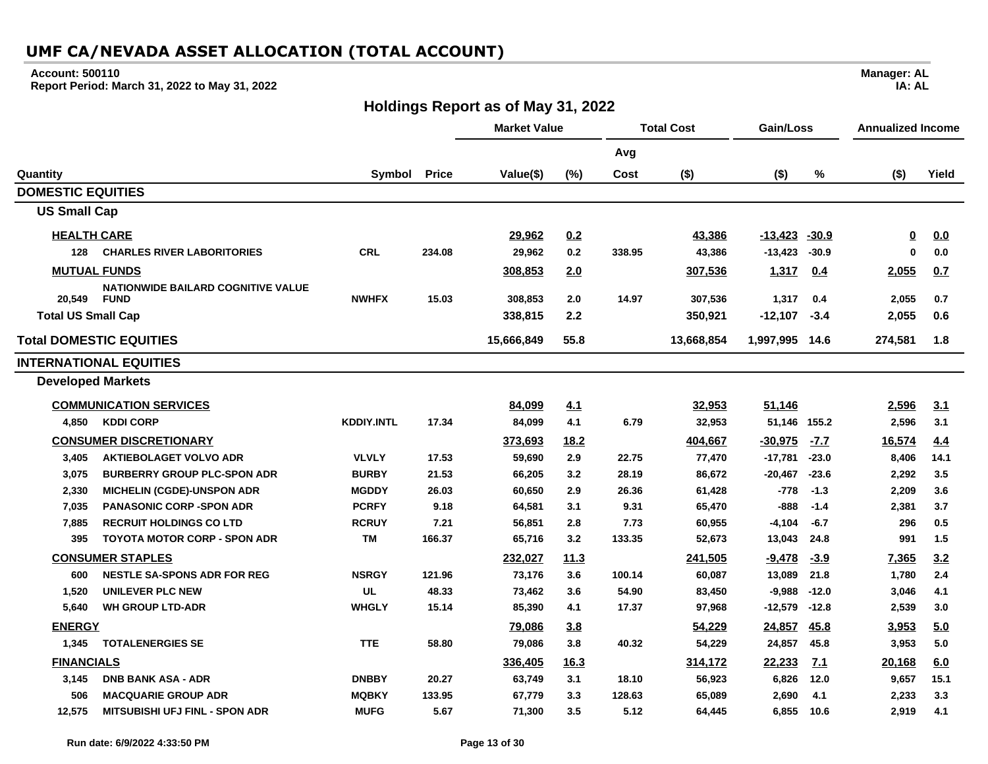#### **Account: 500110**

**Report Period: March 31, 2022 to May 31, 2022**

## **Holdings Report as of May 31, 2022**

|                           |                                           |                   |              | <b>Market Value</b> |             | <b>Total Cost</b> |            | Gain/Loss         |             | <b>Annualized Income</b> |            |
|---------------------------|-------------------------------------------|-------------------|--------------|---------------------|-------------|-------------------|------------|-------------------|-------------|--------------------------|------------|
|                           |                                           |                   |              |                     |             | Avg               |            |                   |             |                          |            |
| Quantity                  |                                           | Symbol            | <b>Price</b> | Value(\$)           | (%)         | Cost              | $($ \$)    | $($ \$)           | %           | $($ \$)                  | Yield      |
| <b>DOMESTIC EQUITIES</b>  |                                           |                   |              |                     |             |                   |            |                   |             |                          |            |
| <b>US Small Cap</b>       |                                           |                   |              |                     |             |                   |            |                   |             |                          |            |
| <b>HEALTH CARE</b>        |                                           |                   |              | 29,962              | 0.2         |                   | 43,386     | $-13,423$ $-30.9$ |             | <u>0</u>                 | 0.0        |
| 128                       | <b>CHARLES RIVER LABORITORIES</b>         | <b>CRL</b>        | 234.08       | 29,962              | 0.2         | 338.95            | 43,386     | $-13,423$         | $-30.9$     | $\bf{0}$                 | 0.0        |
|                           | <b>MUTUAL FUNDS</b>                       |                   |              | 308,853             | 2.0         |                   | 307,536    | 1,317             | 0.4         | 2,055                    | 0.7        |
|                           | <b>NATIONWIDE BAILARD COGNITIVE VALUE</b> |                   |              |                     |             |                   |            |                   |             |                          |            |
| 20,549                    | <b>FUND</b>                               | <b>NWHFX</b>      | 15.03        | 308.853             | 2.0         | 14.97             | 307,536    | 1,317             | 0.4         | 2,055                    | 0.7        |
| <b>Total US Small Cap</b> |                                           |                   |              | 338,815             | 2.2         |                   | 350,921    | $-12,107$         | $-3.4$      | 2,055                    | 0.6        |
|                           | <b>Total DOMESTIC EQUITIES</b>            |                   |              | 15,666,849          | 55.8        |                   | 13,668,854 | 1,997,995 14.6    |             | 274,581                  | 1.8        |
|                           | <b>INTERNATIONAL EQUITIES</b>             |                   |              |                     |             |                   |            |                   |             |                          |            |
| <b>Developed Markets</b>  |                                           |                   |              |                     |             |                   |            |                   |             |                          |            |
|                           | <b>COMMUNICATION SERVICES</b>             |                   |              | 84,099              | 4.1         |                   | 32,953     | 51,146            |             | 2,596                    | <u>3.1</u> |
| 4,850                     | <b>KDDI CORP</b>                          | <b>KDDIY.INTL</b> | 17.34        | 84,099              | 4.1         | 6.79              | 32,953     | 51,146 155.2      |             | 2,596                    | 3.1        |
|                           | <b>CONSUMER DISCRETIONARY</b>             |                   |              | 373,693             | 18.2        |                   | 404,667    | $-30.975$         | $-7.7$      | 16,574                   | 4.4        |
| 3,405                     | <b>AKTIEBOLAGET VOLVO ADR</b>             | <b>VLVLY</b>      | 17.53        | 59,690              | 2.9         | 22.75             | 77,470     | -17,781           | $-23.0$     | 8,406                    | 14.1       |
| 3,075                     | <b>BURBERRY GROUP PLC-SPON ADR</b>        | <b>BURBY</b>      | 21.53        | 66,205              | 3.2         | 28.19             | 86,672     | -20,467           | $-23.6$     | 2,292                    | 3.5        |
| 2,330                     | <b>MICHELIN (CGDE)-UNSPON ADR</b>         | <b>MGDDY</b>      | 26.03        | 60,650              | 2.9         | 26.36             | 61,428     | $-778$            | $-1.3$      | 2,209                    | 3.6        |
| 7,035                     | <b>PANASONIC CORP -SPON ADR</b>           | <b>PCRFY</b>      | 9.18         | 64,581              | 3.1         | 9.31              | 65,470     | $-888$            | $-1.4$      | 2,381                    | 3.7        |
| 7,885                     | <b>RECRUIT HOLDINGS CO LTD</b>            | <b>RCRUY</b>      | 7.21         | 56,851              | 2.8         | 7.73              | 60,955     | $-4,104$          | $-6.7$      | 296                      | 0.5        |
| 395                       | <b>TOYOTA MOTOR CORP - SPON ADR</b>       | <b>TM</b>         | 166.37       | 65,716              | 3.2         | 133.35            | 52,673     | 13,043            | 24.8        | 991                      | 1.5        |
|                           | <b>CONSUMER STAPLES</b>                   |                   |              | 232,027             | <u>11.3</u> |                   | 241,505    | $-9,478$          | $-3.9$      | 7,365                    | 3.2        |
| 600                       | <b>NESTLE SA-SPONS ADR FOR REG</b>        | <b>NSRGY</b>      | 121.96       | 73,176              | 3.6         | 100.14            | 60,087     | 13,089            | 21.8        | 1,780                    | 2.4        |
| 1,520                     | UNILEVER PLC NEW                          | <b>UL</b>         | 48.33        | 73,462              | 3.6         | 54.90             | 83,450     | $-9,988$          | $-12.0$     | 3,046                    | 4.1        |
| 5,640                     | <b>WH GROUP LTD-ADR</b>                   | <b>WHGLY</b>      | 15.14        | 85,390              | 4.1         | 17.37             | 97,968     | -12,579           | $-12.8$     | 2,539                    | 3.0        |
| <b>ENERGY</b>             |                                           |                   |              | 79,086              | 3.8         |                   | 54,229     | 24,857            | <u>45.8</u> | 3,953                    | 5.0        |
| 1,345                     | <b>TOTALENERGIES SE</b>                   | <b>TTE</b>        | 58.80        | 79,086              | 3.8         | 40.32             | 54,229     | 24,857            | 45.8        | 3,953                    | 5.0        |
| <b>FINANCIALS</b>         |                                           |                   |              | 336,405             | <u>16.3</u> |                   | 314,172    | 22,233            | <u>7.1</u>  | 20,168                   | 6.0        |
| 3.145                     | <b>DNB BANK ASA - ADR</b>                 | <b>DNBBY</b>      | 20.27        | 63,749              | 3.1         | 18.10             | 56,923     | 6,826             | 12.0        | 9,657                    | 15.1       |
| 506                       | <b>MACQUARIE GROUP ADR</b>                | <b>MQBKY</b>      | 133.95       | 67,779              | 3.3         | 128.63            | 65,089     | 2,690             | 4.1         | 2,233                    | 3.3        |
| 12,575                    | <b>MITSUBISHI UFJ FINL - SPON ADR</b>     | <b>MUFG</b>       | 5.67         | 71,300              | 3.5         | 5.12              | 64,445     | 6,855             | 10.6        | 2,919                    | 4.1        |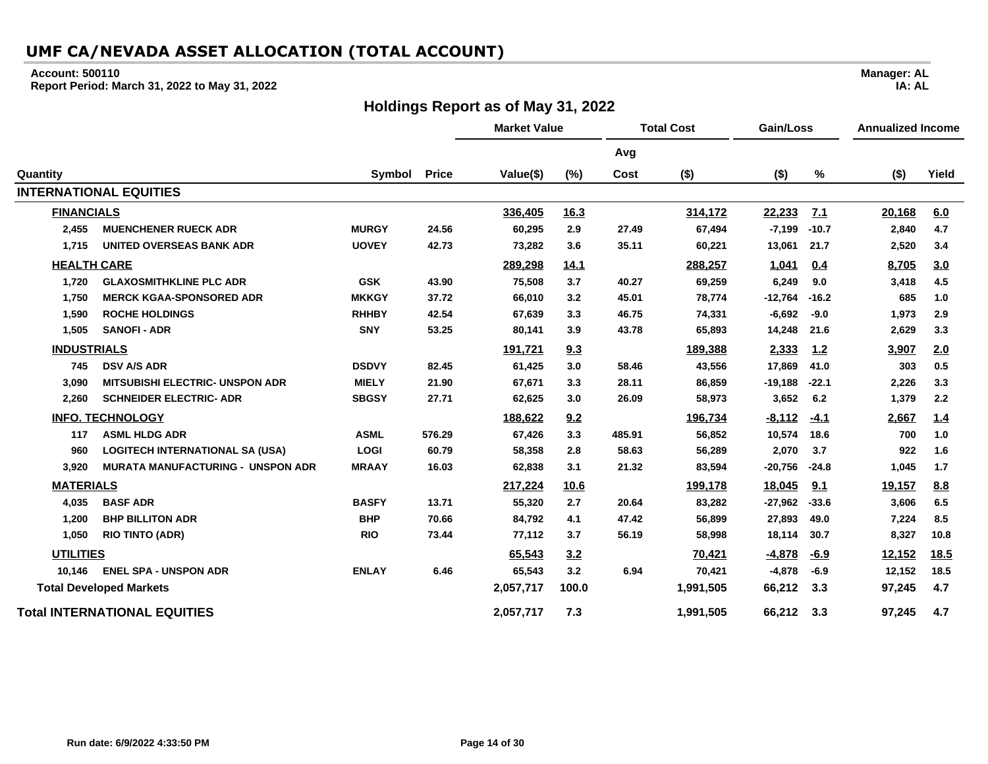#### **Account: 500110**

**Report Period: March 31, 2022 to May 31, 2022**

#### **Holdings Report as of May 31, 2022**

**Market Value Total Cost Gain/Loss Annualized Income Avg Quantity Symbol Price Value(\$) (%) Cost (\$) (\$) % (\$) Yield INTERNATIONAL EQUITIES FINANCIALS 336,405 16.3 314,172 22,233 7.1 20,168 6.0 2,455 MUENCHENER RUECK ADR MURGY 24.56 60,295 2.9 27.49 67,494 -7,199 -10.7 2,840 4.7 1,715 UNITED OVERSEAS BANK ADR UOVEY 42.73 73,282 3.6 35.11 60,221 13,061 21.7 2,520 3.4 HEALTH CARE 289,298 14.1 288,257 1,041 0.4 8,705 3.0 1,720 GLAXOSMITHKLINE PLC ADR GSK 43.90 75,508 3.7 40.27 69,259 6,249 9.0 3,418 4.5 1,750 MERCK KGAA-SPONSORED ADR MKKGY 37.72 66,010 3.2 45.01 78,774 -12,764 -16.2 685 1.0 1,590 ROCHE HOLDINGS RHHBY 42.54 67,639 3.3 46.75 74,331 -6,692 -9.0 1,973 2.9 1,505 SANOFI - ADR SNY 53.25 80,141 3.9 43.78 65,893 14,248 21.6 2,629 3.3 INDUSTRIALS 191,721 9.3 189,388 2,333 1.2 3,907 2.0 745 DSV A/S ADR DSDVY 82.45 61,425 3.0 58.46 43,556 17,869 41.0 303 0.5 3,090 MITSUBISHI ELECTRIC- UNSPON ADR MIELY 21.90 67,671 3.3 28.11 86,859 -19,188 -22.1 2,226 3.3 2,260 SCHNEIDER ELECTRIC- ADR SBGSY 27.71 62,625 3.0 26.09 58,973 3,652 6.2 1,379 2.2 INFO. TECHNOLOGY 188,622 9.2 196,734 -8,112 -4.1 2,667 1.4 117 ASML HLDG ADR ASML 576.29 67,426 3.3 485.91 56,852 10,574 18.6 700 1.0 960 LOGITECH INTERNATIONAL SA (USA) LOGI 60.79 58,358 2.8 58.63 56,289 2,070 3.7 922 1.6 3,920 MURATA MANUFACTURING - UNSPON ADR MRAAY 16.03 62,838 3.1 21.32 83,594 -20,756 -24.8 1,045 1.7 MATERIALS 217,224 10.6 199,178 18,045 9.1 19,157 8.8 4,035 BASF ADR BASFY 13.71 55,320 2.7 20.64 83,282 -27,962 -33.6 3,606 6.5 1,200 BHP BILLITON ADR BHP 70.66 84,792 4.1 47.42 56,899 27,893 49.0 7,224 8.5 1,050 RIO TINTO (ADR) RIO 73.44 77,112 3.7 56.19 58,998 18,114 30.7 8,327 10.8 UTILITIES 65,543 3.2 70,421 -4,878 -6.9 12,152 18.5 10,146 ENEL SPA - UNSPON ADR ENLAY 6.46 65,543 3.2 6.94 70,421 -4,878 -6.9 12,152 18.5 Total Developed Markets 2,057,717 100.0 1,991,505 66,212 3.3 97,245 4.7 Total INTERNATIONAL EQUITIES 2,057,717 7.3 1,991,505 66,212 3.3 97,245 4.7**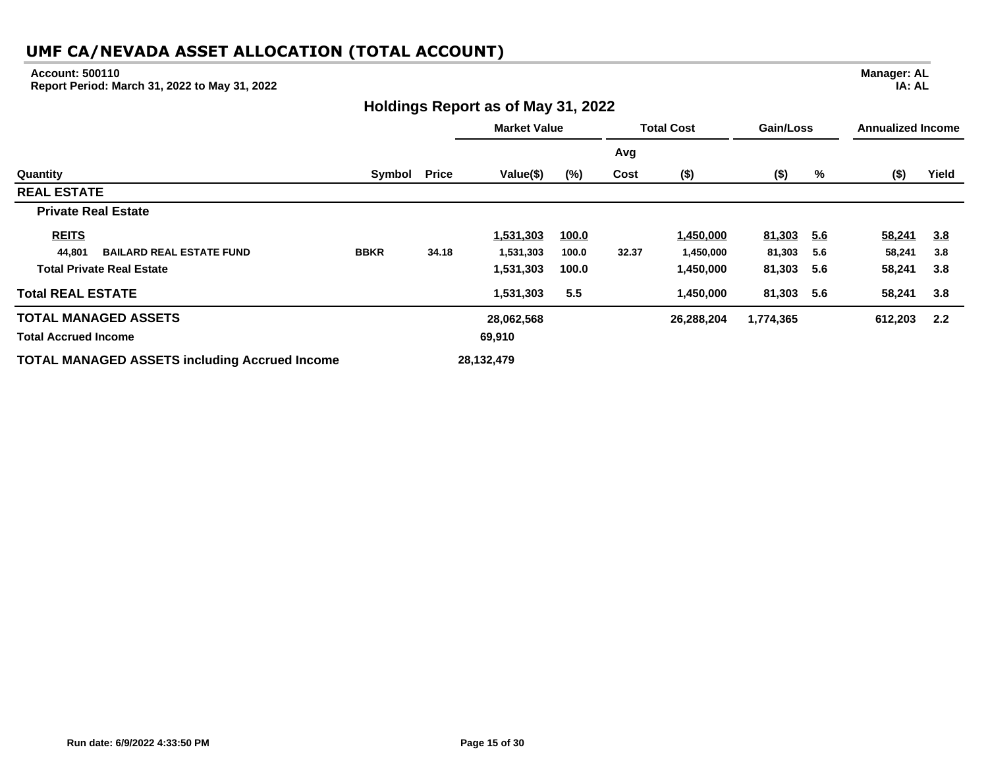#### **Account: 500110**

**Report Period: March 31, 2022 to May 31, 2022**

#### **Holdings Report as of May 31, 2022**

**Market Value Total Cost Gain/Loss Annualized Income Avg Quantity Symbol Price Value(\$) (%) Cost (\$) (\$) % (\$) Yield REAL ESTATE Private Real Estate REITS 1,531,303 100.0 1,450,000 81,303 5.6 58,241 3.8 44,801 BAILARD REAL ESTATE FUND BBKR 34.18 1,531,303 100.0 32.37 1,450,000 81,303 5.6 58,241 3.8 Total Private Real Estate 1,531,303 100.0 1,450,000 81,303 5.6 58,241 3.8 Total REAL ESTATE 1,531,303 5.5 1,450,000 81,303 5.6 58,241 3.8 TOTAL MANAGED ASSETS 28,062,568 26,288,204 1,774,365 612,203 2.2 Total Accrued Income 69,910 TOTAL MANAGED ASSETS including Accrued Income 28,132,479**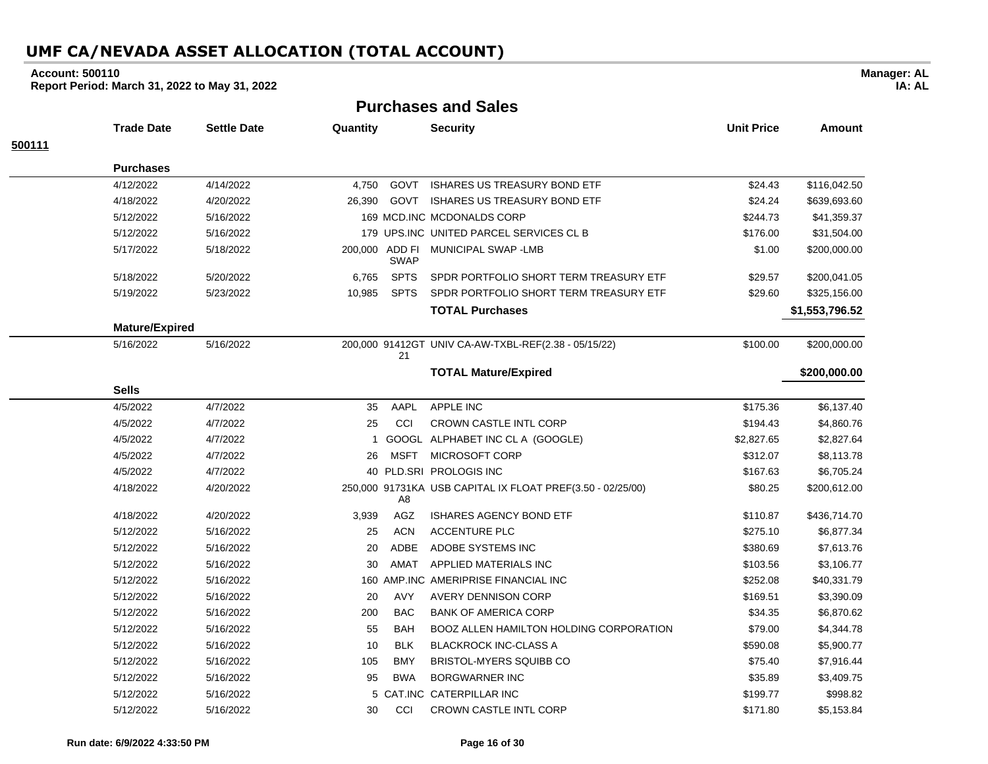#### **Account: 500110**

**Report Period: March 31, 2022 to May 31, 2022**

**Purchases and Sales**

|        | <b>Trade Date</b>     | <b>Settle Date</b> | Quantity |                               | <b>Security</b>                                            | <b>Unit Price</b> | <b>Amount</b>  |
|--------|-----------------------|--------------------|----------|-------------------------------|------------------------------------------------------------|-------------------|----------------|
| 500111 |                       |                    |          |                               |                                                            |                   |                |
|        | <b>Purchases</b>      |                    |          |                               |                                                            |                   |                |
|        | 4/12/2022             | 4/14/2022          | 4.750    | GOVT                          | <b>ISHARES US TREASURY BOND ETF</b>                        | \$24.43           | \$116,042.50   |
|        | 4/18/2022             | 4/20/2022          | 26,390   | GOVT                          | <b>ISHARES US TREASURY BOND ETF</b>                        | \$24.24           | \$639,693.60   |
|        | 5/12/2022             | 5/16/2022          |          |                               | 169 MCD.INC MCDONALDS CORP                                 | \$244.73          | \$41,359.37    |
|        | 5/12/2022             | 5/16/2022          |          |                               | 179 UPS.INC UNITED PARCEL SERVICES CL B                    | \$176.00          | \$31,504.00    |
|        | 5/17/2022             | 5/18/2022          |          | 200,000 ADD FI<br><b>SWAP</b> | MUNICIPAL SWAP - LMB                                       | \$1.00            | \$200,000.00   |
|        | 5/18/2022             | 5/20/2022          | 6,765    | <b>SPTS</b>                   | SPDR PORTFOLIO SHORT TERM TREASURY ETF                     | \$29.57           | \$200,041.05   |
|        | 5/19/2022             | 5/23/2022          | 10,985   | <b>SPTS</b>                   | SPDR PORTFOLIO SHORT TERM TREASURY ETF                     | \$29.60           | \$325,156.00   |
|        |                       |                    |          |                               | <b>TOTAL Purchases</b>                                     |                   | \$1,553,796.52 |
|        | <b>Mature/Expired</b> |                    |          |                               |                                                            |                   |                |
|        | 5/16/2022             | 5/16/2022          |          | 21                            | 200,000 91412GT UNIV CA-AW-TXBL-REF(2.38 - 05/15/22)       | \$100.00          | \$200,000.00   |
|        |                       |                    |          |                               | <b>TOTAL Mature/Expired</b>                                |                   | \$200,000.00   |
|        | <b>Sells</b>          |                    |          |                               |                                                            |                   |                |
|        | 4/5/2022              | 4/7/2022           | 35       | AAPL                          | APPLE INC                                                  | \$175.36          | \$6,137.40     |
|        | 4/5/2022              | 4/7/2022           | 25       | CCI                           | <b>CROWN CASTLE INTL CORP</b>                              | \$194.43          | \$4,860.76     |
|        | 4/5/2022              | 4/7/2022           | 1        |                               | GOOGL ALPHABET INC CL A (GOOGLE)                           | \$2,827.65        | \$2,827.64     |
|        | 4/5/2022              | 4/7/2022           | 26       | <b>MSFT</b>                   | MICROSOFT CORP                                             | \$312.07          | \$8,113.78     |
|        | 4/5/2022              | 4/7/2022           |          |                               | 40 PLD.SRI PROLOGIS INC                                    | \$167.63          | \$6,705.24     |
|        | 4/18/2022             | 4/20/2022          |          | A8                            | 250,000 91731KA USB CAPITAL IX FLOAT PREF(3.50 - 02/25/00) | \$80.25           | \$200,612.00   |
|        | 4/18/2022             | 4/20/2022          | 3,939    | AGZ                           | <b>ISHARES AGENCY BOND ETF</b>                             | \$110.87          | \$436,714.70   |
|        | 5/12/2022             | 5/16/2022          | 25       | <b>ACN</b>                    | <b>ACCENTURE PLC</b>                                       | \$275.10          | \$6,877.34     |
|        | 5/12/2022             | 5/16/2022          | 20       | ADBE                          | ADOBE SYSTEMS INC                                          | \$380.69          | \$7,613.76     |
|        | 5/12/2022             | 5/16/2022          | 30       | AMAT                          | APPLIED MATERIALS INC                                      | \$103.56          | \$3,106.77     |
|        | 5/12/2022             | 5/16/2022          |          |                               | 160 AMP.INC AMERIPRISE FINANCIAL INC                       | \$252.08          | \$40,331.79    |
|        | 5/12/2022             | 5/16/2022          | 20       | <b>AVY</b>                    | <b>AVERY DENNISON CORP</b>                                 | \$169.51          | \$3,390.09     |
|        | 5/12/2022             | 5/16/2022          | 200      | <b>BAC</b>                    | <b>BANK OF AMERICA CORP</b>                                | \$34.35           | \$6,870.62     |
|        | 5/12/2022             | 5/16/2022          | 55       | <b>BAH</b>                    | BOOZ ALLEN HAMILTON HOLDING CORPORATION                    | \$79.00           | \$4,344.78     |
|        | 5/12/2022             | 5/16/2022          | 10       | <b>BLK</b>                    | <b>BLACKROCK INC-CLASS A</b>                               | \$590.08          | \$5,900.77     |
|        | 5/12/2022             | 5/16/2022          | 105      | <b>BMY</b>                    | <b>BRISTOL-MYERS SQUIBB CO</b>                             | \$75.40           | \$7,916.44     |
|        | 5/12/2022             | 5/16/2022          | 95       | <b>BWA</b>                    | <b>BORGWARNER INC</b>                                      | \$35.89           | \$3,409.75     |
|        | 5/12/2022             | 5/16/2022          | 5        |                               | CAT.INC CATERPILLAR INC                                    | \$199.77          | \$998.82       |
|        | 5/12/2022             | 5/16/2022          | 30       | CCI                           | CROWN CASTLE INTL CORP                                     | \$171.80          | \$5,153.84     |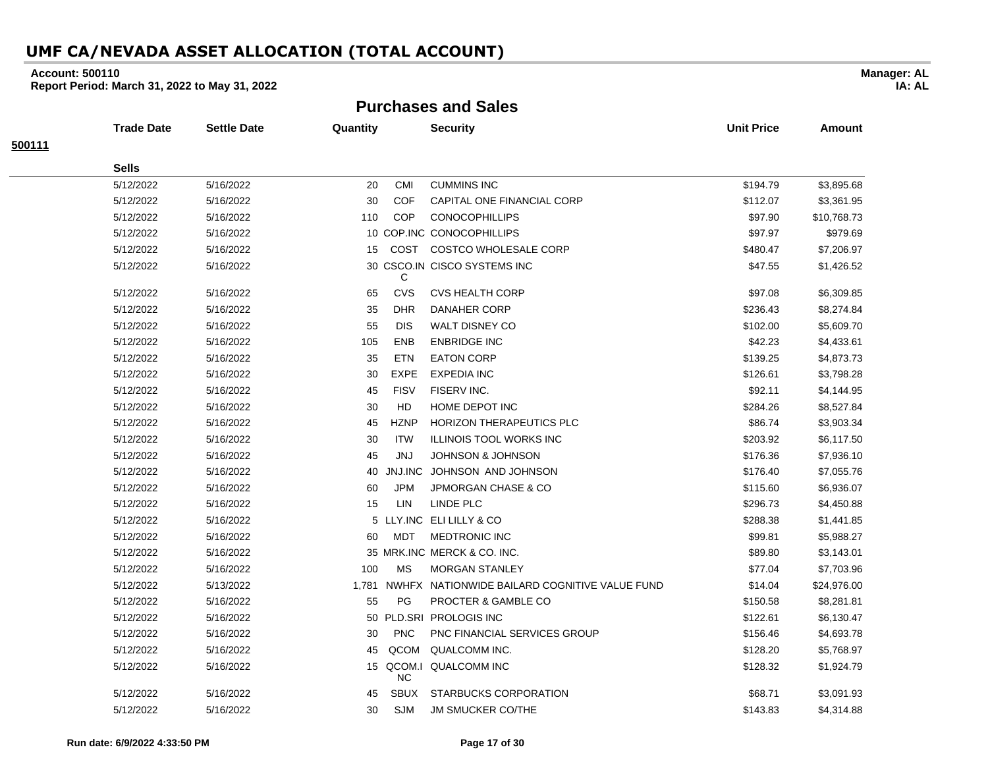#### **Account: 500110**

**Report Period: March 31, 2022 to May 31, 2022**

**Purchases and Sales**

|        | <b>Trade Date</b> | <b>Settle Date</b> | Quantity |             | <b>Security</b>                                     | <b>Unit Price</b> | Amount      |
|--------|-------------------|--------------------|----------|-------------|-----------------------------------------------------|-------------------|-------------|
| 500111 |                   |                    |          |             |                                                     |                   |             |
|        | <b>Sells</b>      |                    |          |             |                                                     |                   |             |
|        | 5/12/2022         | 5/16/2022          | 20       | CMI         | <b>CUMMINS INC</b>                                  | \$194.79          | \$3,895.68  |
|        | 5/12/2022         | 5/16/2022          | 30       | COF         | CAPITAL ONE FINANCIAL CORP                          | \$112.07          | \$3,361.95  |
|        | 5/12/2022         | 5/16/2022          | 110      | <b>COP</b>  | <b>CONOCOPHILLIPS</b>                               | \$97.90           | \$10,768.73 |
|        | 5/12/2022         | 5/16/2022          |          |             | 10 COP.INC CONOCOPHILLIPS                           | \$97.97           | \$979.69    |
|        | 5/12/2022         | 5/16/2022          | 15       |             | COST COSTCO WHOLESALE CORP                          | \$480.47          | \$7,206.97  |
|        | 5/12/2022         | 5/16/2022          |          | C           | 30 CSCO.IN CISCO SYSTEMS INC                        | \$47.55           | \$1,426.52  |
|        | 5/12/2022         | 5/16/2022          | 65       | CVS         | <b>CVS HEALTH CORP</b>                              | \$97.08           | \$6,309.85  |
|        | 5/12/2022         | 5/16/2022          | 35       | <b>DHR</b>  | <b>DANAHER CORP</b>                                 | \$236.43          | \$8,274.84  |
|        | 5/12/2022         | 5/16/2022          | 55       | <b>DIS</b>  | <b>WALT DISNEY CO</b>                               | \$102.00          | \$5,609.70  |
|        | 5/12/2022         | 5/16/2022          | 105      | ENB         | <b>ENBRIDGE INC</b>                                 | \$42.23           | \$4,433.61  |
|        | 5/12/2022         | 5/16/2022          | 35       | ETN         | <b>EATON CORP</b>                                   | \$139.25          | \$4,873.73  |
|        | 5/12/2022         | 5/16/2022          | 30       | <b>EXPE</b> | <b>EXPEDIA INC</b>                                  | \$126.61          | \$3,798.28  |
|        | 5/12/2022         | 5/16/2022          | 45       | <b>FISV</b> | FISERV INC.                                         | \$92.11           | \$4,144.95  |
|        | 5/12/2022         | 5/16/2022          | 30       | HD          | HOME DEPOT INC                                      | \$284.26          | \$8,527.84  |
|        | 5/12/2022         | 5/16/2022          | 45       | <b>HZNP</b> | <b>HORIZON THERAPEUTICS PLC</b>                     | \$86.74           | \$3,903.34  |
|        | 5/12/2022         | 5/16/2022          | 30       | ITW         | <b>ILLINOIS TOOL WORKS INC</b>                      | \$203.92          | \$6,117.50  |
|        | 5/12/2022         | 5/16/2022          | 45       | JNJ         | <b>JOHNSON &amp; JOHNSON</b>                        | \$176.36          | \$7,936.10  |
|        | 5/12/2022         | 5/16/2022          | 40       | JNJ.INC     | JOHNSON AND JOHNSON                                 | \$176.40          | \$7,055.76  |
|        | 5/12/2022         | 5/16/2022          | 60       | <b>JPM</b>  | <b>JPMORGAN CHASE &amp; CO</b>                      | \$115.60          | \$6,936.07  |
|        | 5/12/2022         | 5/16/2022          | 15       | LIN         | <b>LINDE PLC</b>                                    | \$296.73          | \$4,450.88  |
|        | 5/12/2022         | 5/16/2022          |          |             | 5 LLY.INC ELI LILLY & CO                            | \$288.38          | \$1,441.85  |
|        | 5/12/2022         | 5/16/2022          | 60       | MDT         | <b>MEDTRONIC INC</b>                                | \$99.81           | \$5,988.27  |
|        | 5/12/2022         | 5/16/2022          |          |             | 35 MRK.INC MERCK & CO. INC.                         | \$89.80           | \$3,143.01  |
|        | 5/12/2022         | 5/16/2022          | 100      | <b>MS</b>   | <b>MORGAN STANLEY</b>                               | \$77.04           | \$7,703.96  |
|        | 5/12/2022         | 5/13/2022          |          |             | 1,781 NWHFX NATIONWIDE BAILARD COGNITIVE VALUE FUND | \$14.04           | \$24,976.00 |
|        | 5/12/2022         | 5/16/2022          | 55       | PG          | PROCTER & GAMBLE CO                                 | \$150.58          | \$8,281.81  |
|        | 5/12/2022         | 5/16/2022          |          |             | 50 PLD.SRI PROLOGIS INC                             | \$122.61          | \$6,130.47  |
|        | 5/12/2022         | 5/16/2022          | 30       | <b>PNC</b>  | PNC FINANCIAL SERVICES GROUP                        | \$156.46          | \$4,693.78  |
|        | 5/12/2022         | 5/16/2022          | 45       | QCOM        | QUALCOMM INC.                                       | \$128.20          | \$5,768.97  |
|        | 5/12/2022         | 5/16/2022          |          | <b>NC</b>   | 15 QCOM.I QUALCOMM INC                              | \$128.32          | \$1,924.79  |
|        | 5/12/2022         | 5/16/2022          | 45       | <b>SBUX</b> | STARBUCKS CORPORATION                               | \$68.71           | \$3,091.93  |
|        | 5/12/2022         | 5/16/2022          | 30       | <b>SJM</b>  | <b>JM SMUCKER CO/THE</b>                            | \$143.83          | \$4,314.88  |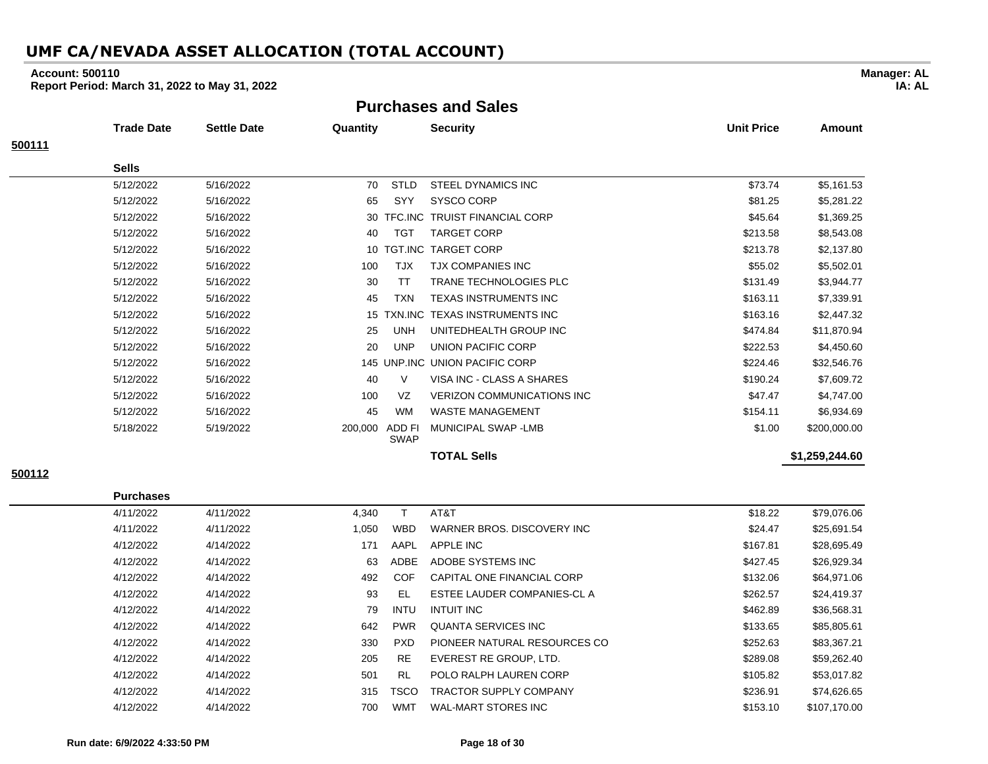#### **Account: 500110**

**Report Period: March 31, 2022 to May 31, 2022**

**Purchases and Sales**

|        | Trade Date   | <b>Settle Date</b> | Quantity |                       | <b>Security</b>                   | <b>Unit Price</b> | Amount         |
|--------|--------------|--------------------|----------|-----------------------|-----------------------------------|-------------------|----------------|
| 500111 |              |                    |          |                       |                                   |                   |                |
|        | <b>Sells</b> |                    |          |                       |                                   |                   |                |
|        | 5/12/2022    | 5/16/2022          | 70       | <b>STLD</b>           | STEEL DYNAMICS INC                | \$73.74           | \$5,161.53     |
|        | 5/12/2022    | 5/16/2022          | 65       | SYY                   | SYSCO CORP                        | \$81.25           | \$5,281.22     |
|        | 5/12/2022    | 5/16/2022          | 30       | TFC.INC               | <b>TRUIST FINANCIAL CORP</b>      | \$45.64           | \$1,369.25     |
|        | 5/12/2022    | 5/16/2022          | 40       | <b>TGT</b>            | <b>TARGET CORP</b>                | \$213.58          | \$8,543.08     |
|        | 5/12/2022    | 5/16/2022          | 10       |                       | TGT.INC TARGET CORP               | \$213.78          | \$2,137.80     |
|        | 5/12/2022    | 5/16/2022          | 100      | <b>TJX</b>            | <b>TJX COMPANIES INC</b>          | \$55.02           | \$5,502.01     |
|        | 5/12/2022    | 5/16/2022          | 30       | <b>TT</b>             | <b>TRANE TECHNOLOGIES PLC</b>     | \$131.49          | \$3,944.77     |
|        | 5/12/2022    | 5/16/2022          | 45       | <b>TXN</b>            | TEXAS INSTRUMENTS INC             | \$163.11          | \$7,339.91     |
|        | 5/12/2022    | 5/16/2022          | 15       |                       | TXN.INC TEXAS INSTRUMENTS INC     | \$163.16          | \$2,447.32     |
|        | 5/12/2022    | 5/16/2022          | 25       | <b>UNH</b>            | UNITEDHEALTH GROUP INC            | \$474.84          | \$11,870.94    |
|        | 5/12/2022    | 5/16/2022          | 20       | <b>UNP</b>            | UNION PACIFIC CORP                | \$222.53          | \$4,450.60     |
|        | 5/12/2022    | 5/16/2022          |          |                       | 145 UNP.INC UNION PACIFIC CORP    | \$224.46          | \$32,546.76    |
|        | 5/12/2022    | 5/16/2022          | 40       | V                     | VISA INC - CLASS A SHARES         | \$190.24          | \$7,609.72     |
|        | 5/12/2022    | 5/16/2022          | 100      | VZ                    | <b>VERIZON COMMUNICATIONS INC</b> | \$47.47           | \$4,747.00     |
|        | 5/12/2022    | 5/16/2022          | 45       | <b>WM</b>             | <b>WASTE MANAGEMENT</b>           | \$154.11          | \$6,934.69     |
|        | 5/18/2022    | 5/19/2022          | 200,000  | ADD FI<br><b>SWAP</b> | MUNICIPAL SWAP-LMB                | \$1.00            | \$200,000.00   |
|        |              |                    |          |                       | <b>TOTAL Sells</b>                |                   | \$1,259,244.60 |

**500112**

**Purchases** 4/11/2022 4/11/2022 4,340 T AT&T \$18.22 \$79,076.06 4/11/2022 4/11/2022 4/11/2022 1,050 WBD WARNER BROS. DISCOVERY INC \$24.47 \$25,691.54 4/12/2022 4/14/2022 171 AAPL APPLE INC \$167.81 \$28,695.49 4/12/2022 4/14/2022 63 ADBE ADOBE SYSTEMS INC \$427.45 \$26,929.34 4/12/2022 4/14/2022 492 COF CAPITAL ONE FINANCIAL CORP \$132.06 \$64,971.06 4/12/2022 4/14/2022 93 EL ESTEE LAUDER COMPANIES-CL A \$262.57 \$24,419.37 4/12/2022 4/14/2022 79 INTU INTUIT INC 5668.31 \$462.89 \$36,568.31 4/12/2022 4/14/2022 642 PWR QUANTA SERVICES INC \$133.65 \$85,805.61 4/12/2022 4/14/2022 330 PXD PIONEER NATURAL RESOURCES CO \$252.63 \$83,367.21 4/12/2022 4/14/2022 205 RE EVEREST RE GROUP, LTD. \$289.08 \$59,262.40 4/12/2022 4/14/2022 501 RL POLO RALPH LAUREN CORP \$105.82 \$53,017.82 4/12/2022 4/14/2022 315 TSCO TRACTOR SUPPLY COMPANY \$236.91 \$74,626.65 4/12/2022 4/14/2022 700 WMT WAL-MART STORES INC \$153.10 \$107,170.00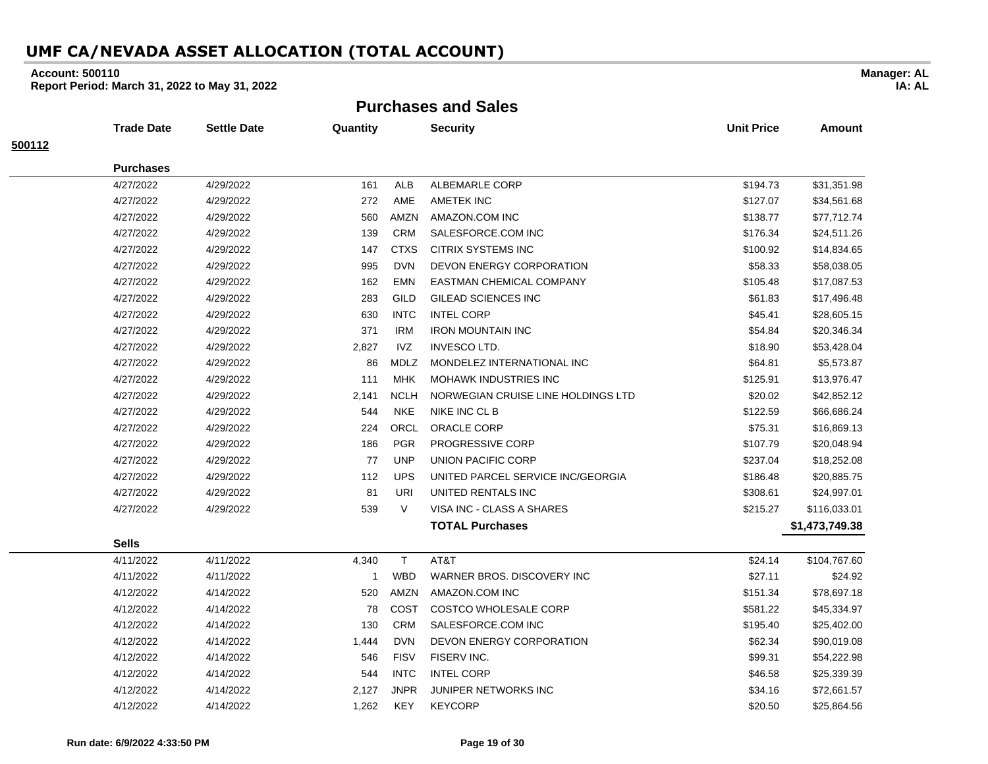#### **Account: 500110**

**Report Period: March 31, 2022 to May 31, 2022**

**Purchases and Sales**

|        | <b>Trade Date</b> | <b>Settle Date</b> | Quantity     |             | <b>Security</b>                    | <b>Unit Price</b> | Amount         |
|--------|-------------------|--------------------|--------------|-------------|------------------------------------|-------------------|----------------|
| 500112 |                   |                    |              |             |                                    |                   |                |
|        | <b>Purchases</b>  |                    |              |             |                                    |                   |                |
|        | 4/27/2022         | 4/29/2022          | 161          | ALB         | ALBEMARLE CORP                     | \$194.73          | \$31,351.98    |
|        | 4/27/2022         | 4/29/2022          | 272          | AME         | AMETEK INC                         | \$127.07          | \$34,561.68    |
|        | 4/27/2022         | 4/29/2022          | 560          | AMZN        | AMAZON.COM INC                     | \$138.77          | \$77,712.74    |
|        | 4/27/2022         | 4/29/2022          | 139          | <b>CRM</b>  | SALESFORCE.COM INC                 | \$176.34          | \$24,511.26    |
|        | 4/27/2022         | 4/29/2022          | 147          | <b>CTXS</b> | <b>CITRIX SYSTEMS INC</b>          | \$100.92          | \$14,834.65    |
|        | 4/27/2022         | 4/29/2022          | 995          | <b>DVN</b>  | DEVON ENERGY CORPORATION           | \$58.33           | \$58,038.05    |
|        | 4/27/2022         | 4/29/2022          | 162          | EMN         | EASTMAN CHEMICAL COMPANY           | \$105.48          | \$17,087.53    |
|        | 4/27/2022         | 4/29/2022          | 283          | GILD        | <b>GILEAD SCIENCES INC</b>         | \$61.83           | \$17,496.48    |
|        | 4/27/2022         | 4/29/2022          | 630          | <b>INTC</b> | <b>INTEL CORP</b>                  | \$45.41           | \$28,605.15    |
|        | 4/27/2022         | 4/29/2022          | 371          | <b>IRM</b>  | <b>IRON MOUNTAIN INC</b>           | \$54.84           | \$20,346.34    |
|        | 4/27/2022         | 4/29/2022          | 2,827        | IVZ         | <b>INVESCO LTD.</b>                | \$18.90           | \$53,428.04    |
|        | 4/27/2022         | 4/29/2022          | 86           | <b>MDLZ</b> | MONDELEZ INTERNATIONAL INC         | \$64.81           | \$5,573.87     |
|        | 4/27/2022         | 4/29/2022          | 111          | <b>MHK</b>  | <b>MOHAWK INDUSTRIES INC</b>       | \$125.91          | \$13,976.47    |
|        | 4/27/2022         | 4/29/2022          | 2,141        | <b>NCLH</b> | NORWEGIAN CRUISE LINE HOLDINGS LTD | \$20.02           | \$42,852.12    |
|        | 4/27/2022         | 4/29/2022          | 544          | <b>NKE</b>  | NIKE INC CL B                      | \$122.59          | \$66,686.24    |
|        | 4/27/2022         | 4/29/2022          | 224          | ORCL        | <b>ORACLE CORP</b>                 | \$75.31           | \$16,869.13    |
|        | 4/27/2022         | 4/29/2022          | 186          | <b>PGR</b>  | PROGRESSIVE CORP                   | \$107.79          | \$20,048.94    |
|        | 4/27/2022         | 4/29/2022          | 77           | <b>UNP</b>  | UNION PACIFIC CORP                 | \$237.04          | \$18,252.08    |
|        | 4/27/2022         | 4/29/2022          | 112          | <b>UPS</b>  | UNITED PARCEL SERVICE INC/GEORGIA  | \$186.48          | \$20,885.75    |
|        | 4/27/2022         | 4/29/2022          | 81           | <b>URI</b>  | UNITED RENTALS INC                 | \$308.61          | \$24,997.01    |
|        | 4/27/2022         | 4/29/2022          | 539          | $\vee$      | VISA INC - CLASS A SHARES          | \$215.27          | \$116,033.01   |
|        |                   |                    |              |             | <b>TOTAL Purchases</b>             |                   | \$1,473,749.38 |
|        | <b>Sells</b>      |                    |              |             |                                    |                   |                |
|        | 4/11/2022         | 4/11/2022          | 4,340        | $\mathsf T$ | AT&T                               | \$24.14           | \$104,767.60   |
|        | 4/11/2022         | 4/11/2022          | $\mathbf{1}$ | <b>WBD</b>  | WARNER BROS, DISCOVERY INC         | \$27.11           | \$24.92        |
|        | 4/12/2022         | 4/14/2022          | 520          | <b>AMZN</b> | AMAZON.COM INC                     | \$151.34          | \$78,697.18    |
|        | 4/12/2022         | 4/14/2022          | 78           | COST        | <b>COSTCO WHOLESALE CORP</b>       | \$581.22          | \$45,334.97    |
|        | 4/12/2022         | 4/14/2022          | 130          | <b>CRM</b>  | SALESFORCE.COM INC                 | \$195.40          | \$25,402.00    |
|        | 4/12/2022         | 4/14/2022          | 1,444        | <b>DVN</b>  | DEVON ENERGY CORPORATION           | \$62.34           | \$90,019.08    |
|        | 4/12/2022         | 4/14/2022          | 546          | <b>FISV</b> | FISERV INC.                        | \$99.31           | \$54,222.98    |
|        | 4/12/2022         | 4/14/2022          | 544          | <b>INTC</b> | <b>INTEL CORP</b>                  | \$46.58           | \$25,339.39    |
|        | 4/12/2022         | 4/14/2022          | 2,127        | <b>JNPR</b> | JUNIPER NETWORKS INC               | \$34.16           | \$72,661.57    |
|        | 4/12/2022         | 4/14/2022          | 1.262        | <b>KEY</b>  | <b>KEYCORP</b>                     | \$20.50           | \$25.864.56    |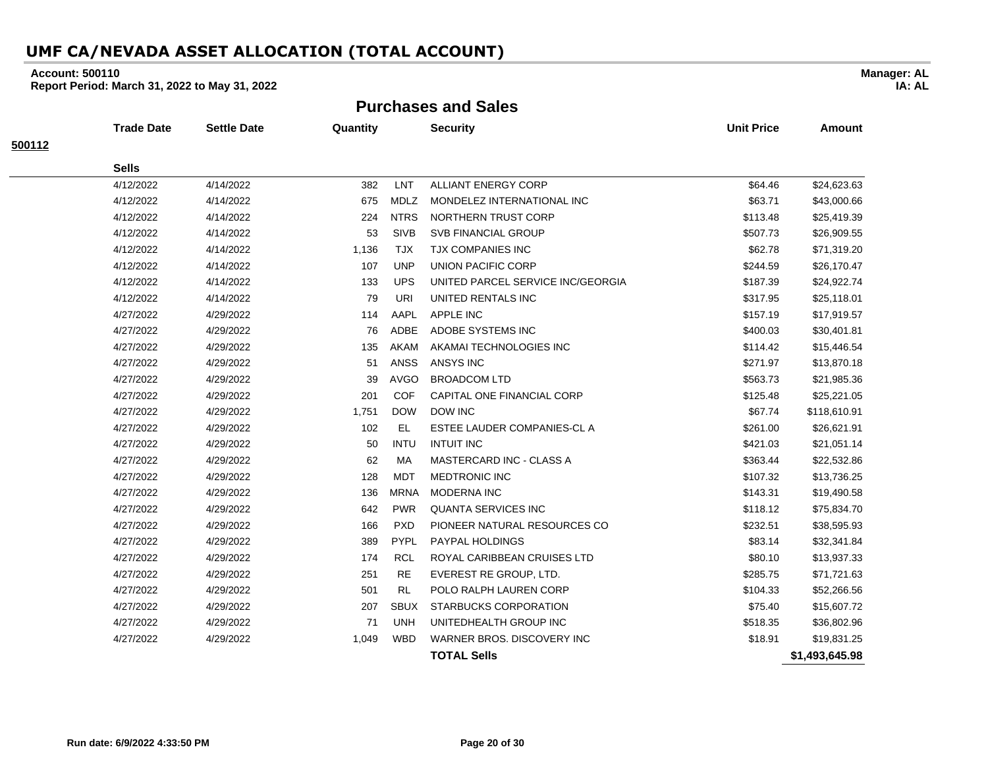#### **Account: 500110**

**Report Period: March 31, 2022 to May 31, 2022**

**Purchases and Sales**

|        | <b>Trade Date</b> | <b>Settle Date</b> | Quantity |             | <b>Security</b>                   | <b>Unit Price</b> | <b>Amount</b>  |
|--------|-------------------|--------------------|----------|-------------|-----------------------------------|-------------------|----------------|
| 500112 |                   |                    |          |             |                                   |                   |                |
|        | <b>Sells</b>      |                    |          |             |                                   |                   |                |
|        | 4/12/2022         | 4/14/2022          | 382      | LNT         | <b>ALLIANT ENERGY CORP</b>        | \$64.46           | \$24,623.63    |
|        | 4/12/2022         | 4/14/2022          | 675      | <b>MDLZ</b> | MONDELEZ INTERNATIONAL INC        | \$63.71           | \$43,000.66    |
|        | 4/12/2022         | 4/14/2022          | 224      | <b>NTRS</b> | NORTHERN TRUST CORP               | \$113.48          | \$25,419.39    |
|        | 4/12/2022         | 4/14/2022          | 53       | <b>SIVB</b> | <b>SVB FINANCIAL GROUP</b>        | \$507.73          | \$26,909.55    |
|        | 4/12/2022         | 4/14/2022          | 1,136    | TJX         | TJX COMPANIES INC                 | \$62.78           | \$71,319.20    |
|        | 4/12/2022         | 4/14/2022          | 107      | <b>UNP</b>  | UNION PACIFIC CORP                | \$244.59          | \$26,170.47    |
|        | 4/12/2022         | 4/14/2022          | 133      | <b>UPS</b>  | UNITED PARCEL SERVICE INC/GEORGIA | \$187.39          | \$24,922.74    |
|        | 4/12/2022         | 4/14/2022          | 79       | URI         | UNITED RENTALS INC                | \$317.95          | \$25,118.01    |
|        | 4/27/2022         | 4/29/2022          | 114      | AAPL        | <b>APPLE INC</b>                  | \$157.19          | \$17,919.57    |
|        | 4/27/2022         | 4/29/2022          | 76       | <b>ADBE</b> | ADOBE SYSTEMS INC                 | \$400.03          | \$30,401.81    |
|        | 4/27/2022         | 4/29/2022          | 135      | AKAM        | AKAMAI TECHNOLOGIES INC           | \$114.42          | \$15,446.54    |
|        | 4/27/2022         | 4/29/2022          | 51       | <b>ANSS</b> | <b>ANSYS INC</b>                  | \$271.97          | \$13,870.18    |
|        | 4/27/2022         | 4/29/2022          | 39       | <b>AVGO</b> | <b>BROADCOM LTD</b>               | \$563.73          | \$21,985.36    |
|        | 4/27/2022         | 4/29/2022          | 201      | <b>COF</b>  | CAPITAL ONE FINANCIAL CORP        | \$125.48          | \$25,221.05    |
|        | 4/27/2022         | 4/29/2022          | 1,751    | <b>DOW</b>  | <b>DOW INC</b>                    | \$67.74           | \$118,610.91   |
|        | 4/27/2022         | 4/29/2022          | 102      | EL          | ESTEE LAUDER COMPANIES-CL A       | \$261.00          | \$26,621.91    |
|        | 4/27/2022         | 4/29/2022          | 50       | <b>INTU</b> | <b>INTUIT INC</b>                 | \$421.03          | \$21,051.14    |
|        | 4/27/2022         | 4/29/2022          | 62       | MA          | MASTERCARD INC - CLASS A          | \$363.44          | \$22,532.86    |
|        | 4/27/2022         | 4/29/2022          | 128      | <b>MDT</b>  | <b>MEDTRONIC INC</b>              | \$107.32          | \$13,736.25    |
|        | 4/27/2022         | 4/29/2022          | 136      | <b>MRNA</b> | <b>MODERNA INC</b>                | \$143.31          | \$19,490.58    |
|        | 4/27/2022         | 4/29/2022          | 642      | <b>PWR</b>  | <b>QUANTA SERVICES INC</b>        | \$118.12          | \$75,834.70    |
|        | 4/27/2022         | 4/29/2022          | 166      | <b>PXD</b>  | PIONEER NATURAL RESOURCES CO      | \$232.51          | \$38,595.93    |
|        | 4/27/2022         | 4/29/2022          | 389      | PYPL        | <b>PAYPAL HOLDINGS</b>            | \$83.14           | \$32,341.84    |
|        | 4/27/2022         | 4/29/2022          | 174      | <b>RCL</b>  | ROYAL CARIBBEAN CRUISES LTD       | \$80.10           | \$13,937.33    |
|        | 4/27/2022         | 4/29/2022          | 251      | <b>RE</b>   | EVEREST RE GROUP, LTD.            | \$285.75          | \$71,721.63    |
|        | 4/27/2022         | 4/29/2022          | 501      | <b>RL</b>   | POLO RALPH LAUREN CORP            | \$104.33          | \$52,266.56    |
|        | 4/27/2022         | 4/29/2022          | 207      | <b>SBUX</b> | <b>STARBUCKS CORPORATION</b>      | \$75.40           | \$15,607.72    |
|        | 4/27/2022         | 4/29/2022          | 71       | <b>UNH</b>  | UNITEDHEALTH GROUP INC            | \$518.35          | \$36,802.96    |
|        | 4/27/2022         | 4/29/2022          | 1,049    | <b>WBD</b>  | WARNER BROS. DISCOVERY INC        | \$18.91           | \$19,831.25    |
|        |                   |                    |          |             | <b>TOTAL Sells</b>                |                   | \$1,493,645.98 |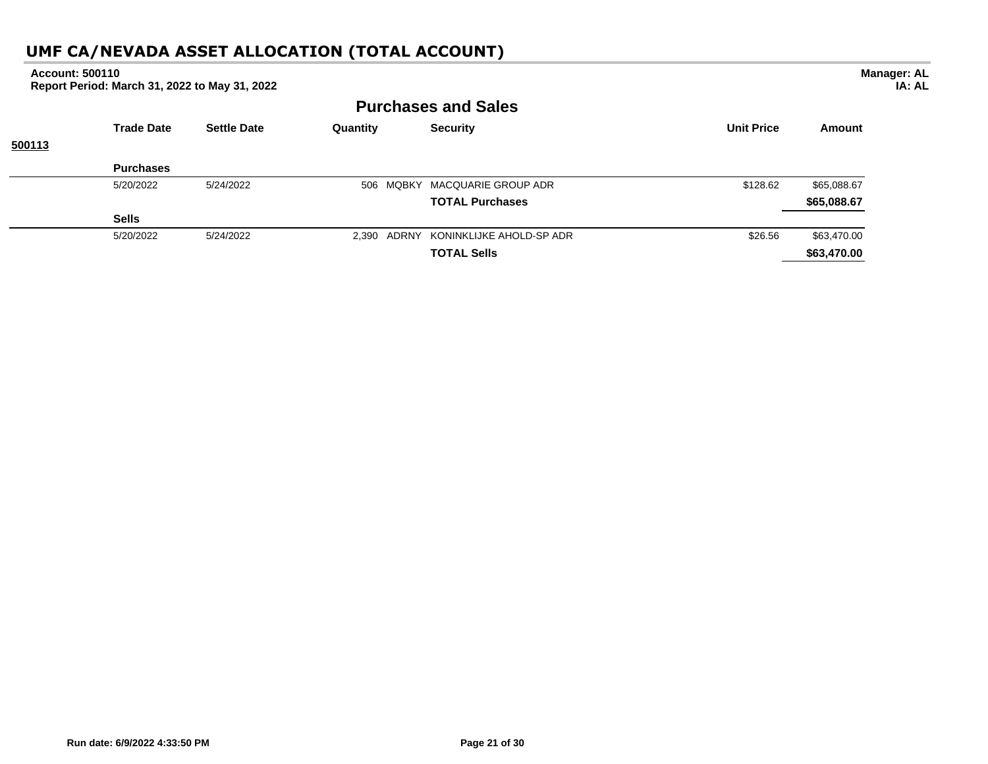#### **Purchases and Sales Trade Date Settle Date Quantity Security Unit Price Amount 500113 Purchases** 5/20/2022 5/24/2022 506 MQBKY MACQUARIE GROUP ADR \$128.62 \$65,088.67 **TOTAL Purchases \$65,088.67 Sells** 5/20/2022 5/24/2022 2,390 ADRNY KONINKLIJKE AHOLD-SP ADR \$26.56 \$63,470.00 **TOTAL Sells \$63,470.00 Account: 500110 Report Period: March 31, 2022 to May 31, 2022 Manager: AL IA: AL**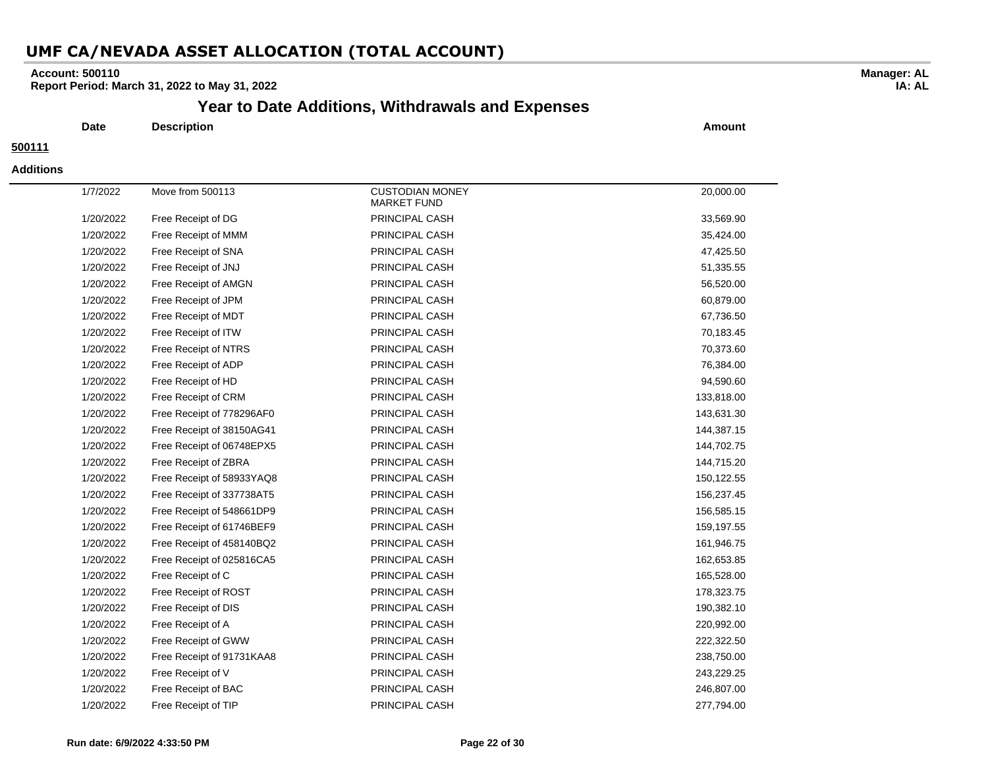#### **Account: 500110**

**Report Period: March 31, 2022 to May 31, 2022**

## **Year to Date Additions, Withdrawals and Expenses**

**Date Description Amount**

#### **500111**

#### **Additions**

| 1/7/2022  | Move from 500113          | <b>CUSTODIAN MONEY</b><br><b>MARKET FUND</b> | 20,000.00  |
|-----------|---------------------------|----------------------------------------------|------------|
| 1/20/2022 | Free Receipt of DG        | PRINCIPAL CASH                               | 33,569.90  |
| 1/20/2022 | Free Receipt of MMM       | PRINCIPAL CASH                               | 35,424.00  |
| 1/20/2022 | Free Receipt of SNA       | PRINCIPAL CASH                               | 47,425.50  |
| 1/20/2022 | Free Receipt of JNJ       | PRINCIPAL CASH                               | 51,335.55  |
| 1/20/2022 | Free Receipt of AMGN      | PRINCIPAL CASH                               | 56,520.00  |
| 1/20/2022 | Free Receipt of JPM       | PRINCIPAL CASH                               | 60,879.00  |
| 1/20/2022 | Free Receipt of MDT       | PRINCIPAL CASH                               | 67,736.50  |
| 1/20/2022 | Free Receipt of ITW       | PRINCIPAL CASH                               | 70,183.45  |
| 1/20/2022 | Free Receipt of NTRS      | PRINCIPAL CASH                               | 70,373.60  |
| 1/20/2022 | Free Receipt of ADP       | PRINCIPAL CASH                               | 76,384.00  |
| 1/20/2022 | Free Receipt of HD        | PRINCIPAL CASH                               | 94,590.60  |
| 1/20/2022 | Free Receipt of CRM       | PRINCIPAL CASH                               | 133,818.00 |
| 1/20/2022 | Free Receipt of 778296AF0 | PRINCIPAL CASH                               | 143,631.30 |
| 1/20/2022 | Free Receipt of 38150AG41 | PRINCIPAL CASH                               | 144,387.15 |
| 1/20/2022 | Free Receipt of 06748EPX5 | PRINCIPAL CASH                               | 144,702.75 |
| 1/20/2022 | Free Receipt of ZBRA      | PRINCIPAL CASH                               | 144,715.20 |
| 1/20/2022 | Free Receipt of 58933YAQ8 | PRINCIPAL CASH                               | 150,122.55 |
| 1/20/2022 | Free Receipt of 337738AT5 | PRINCIPAL CASH                               | 156,237.45 |
| 1/20/2022 | Free Receipt of 548661DP9 | PRINCIPAL CASH                               | 156,585.15 |
| 1/20/2022 | Free Receipt of 61746BEF9 | PRINCIPAL CASH                               | 159,197.55 |
| 1/20/2022 | Free Receipt of 458140BQ2 | PRINCIPAL CASH                               | 161,946.75 |
| 1/20/2022 | Free Receipt of 025816CA5 | PRINCIPAL CASH                               | 162,653.85 |
| 1/20/2022 | Free Receipt of C         | PRINCIPAL CASH                               | 165,528.00 |
| 1/20/2022 | Free Receipt of ROST      | PRINCIPAL CASH                               | 178,323.75 |
| 1/20/2022 | Free Receipt of DIS       | PRINCIPAL CASH                               | 190,382.10 |
| 1/20/2022 | Free Receipt of A         | PRINCIPAL CASH                               | 220,992.00 |
| 1/20/2022 | Free Receipt of GWW       | PRINCIPAL CASH                               | 222,322.50 |
| 1/20/2022 | Free Receipt of 91731KAA8 | PRINCIPAL CASH                               | 238,750.00 |
| 1/20/2022 | Free Receipt of V         | PRINCIPAL CASH                               | 243,229.25 |
| 1/20/2022 | Free Receipt of BAC       | PRINCIPAL CASH                               | 246,807.00 |
| 1/20/2022 | Free Receipt of TIP       | PRINCIPAL CASH                               | 277,794.00 |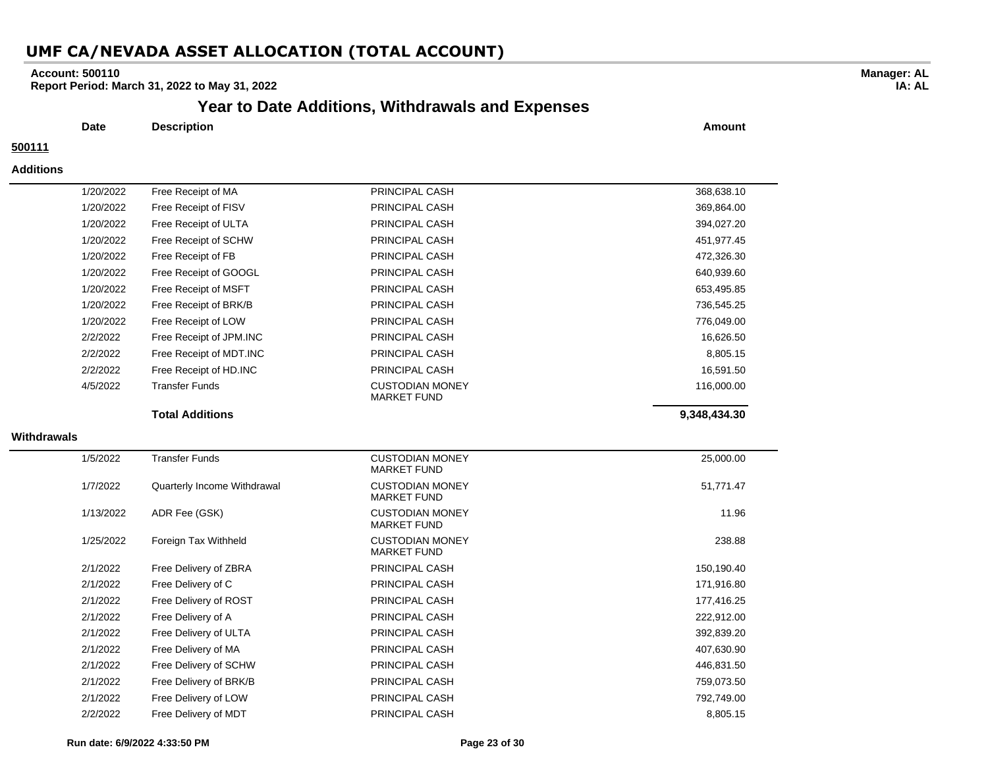#### **Account: 500110**

**Report Period: March 31, 2022 to May 31, 2022**

## **Year to Date Additions, Withdrawals and Expenses**

**Date Description Amount**

#### **500111**

#### **Additions**

|             | 1/20/2022 | Free Receipt of MA          | PRINCIPAL CASH                               | 368,638.10   |
|-------------|-----------|-----------------------------|----------------------------------------------|--------------|
|             | 1/20/2022 | Free Receipt of FISV        | PRINCIPAL CASH                               | 369,864.00   |
|             | 1/20/2022 | Free Receipt of ULTA        | PRINCIPAL CASH                               | 394,027.20   |
|             | 1/20/2022 | Free Receipt of SCHW        | PRINCIPAL CASH                               | 451,977.45   |
|             | 1/20/2022 | Free Receipt of FB          | PRINCIPAL CASH                               | 472,326.30   |
|             | 1/20/2022 | Free Receipt of GOOGL       | PRINCIPAL CASH                               | 640,939.60   |
|             | 1/20/2022 | Free Receipt of MSFT        | PRINCIPAL CASH                               | 653,495.85   |
|             | 1/20/2022 | Free Receipt of BRK/B       | PRINCIPAL CASH                               | 736,545.25   |
|             | 1/20/2022 | Free Receipt of LOW         | PRINCIPAL CASH                               | 776,049.00   |
|             | 2/2/2022  | Free Receipt of JPM.INC     | PRINCIPAL CASH                               | 16,626.50    |
|             | 2/2/2022  | Free Receipt of MDT.INC     | PRINCIPAL CASH                               | 8,805.15     |
|             | 2/2/2022  | Free Receipt of HD.INC      | PRINCIPAL CASH                               | 16,591.50    |
|             | 4/5/2022  | <b>Transfer Funds</b>       | <b>CUSTODIAN MONEY</b><br><b>MARKET FUND</b> | 116,000.00   |
|             |           | <b>Total Additions</b>      |                                              | 9,348,434.30 |
| Withdrawals |           |                             |                                              |              |
|             | 1/5/2022  | <b>Transfer Funds</b>       | <b>CUSTODIAN MONEY</b><br><b>MARKET FUND</b> | 25,000.00    |
|             | 1/7/2022  | Quarterly Income Withdrawal | <b>CUSTODIAN MONEY</b><br><b>MARKET FUND</b> | 51,771.47    |
|             | 1/13/2022 | ADR Fee (GSK)               | <b>CUSTODIAN MONEY</b><br><b>MARKET FUND</b> | 11.96        |
|             | 1/25/2022 | Foreign Tax Withheld        | <b>CUSTODIAN MONEY</b><br><b>MARKET FUND</b> | 238.88       |
|             | 2/1/2022  | Free Delivery of ZBRA       | PRINCIPAL CASH                               | 150,190.40   |
|             | 2/1/2022  | Free Delivery of C          | PRINCIPAL CASH                               | 171,916.80   |
|             | 2/1/2022  | Free Delivery of ROST       | PRINCIPAL CASH                               | 177,416.25   |
|             | 2/1/2022  | Free Delivery of A          | PRINCIPAL CASH                               | 222,912.00   |
|             | 2/1/2022  | Free Delivery of ULTA       | PRINCIPAL CASH                               | 392,839.20   |
|             | 2/1/2022  | Free Delivery of MA         | PRINCIPAL CASH                               | 407,630.90   |
|             | 2/1/2022  | Free Delivery of SCHW       | PRINCIPAL CASH                               | 446,831.50   |
|             | 2/1/2022  | Free Delivery of BRK/B      | PRINCIPAL CASH                               | 759,073.50   |
|             | 2/1/2022  | Free Delivery of LOW        | PRINCIPAL CASH                               | 792,749.00   |
|             | 2/2/2022  | Free Delivery of MDT        | PRINCIPAL CASH                               | 8,805.15     |

#### **Run date: 6/9/2022 4:33:50 PM Page 23 of 30**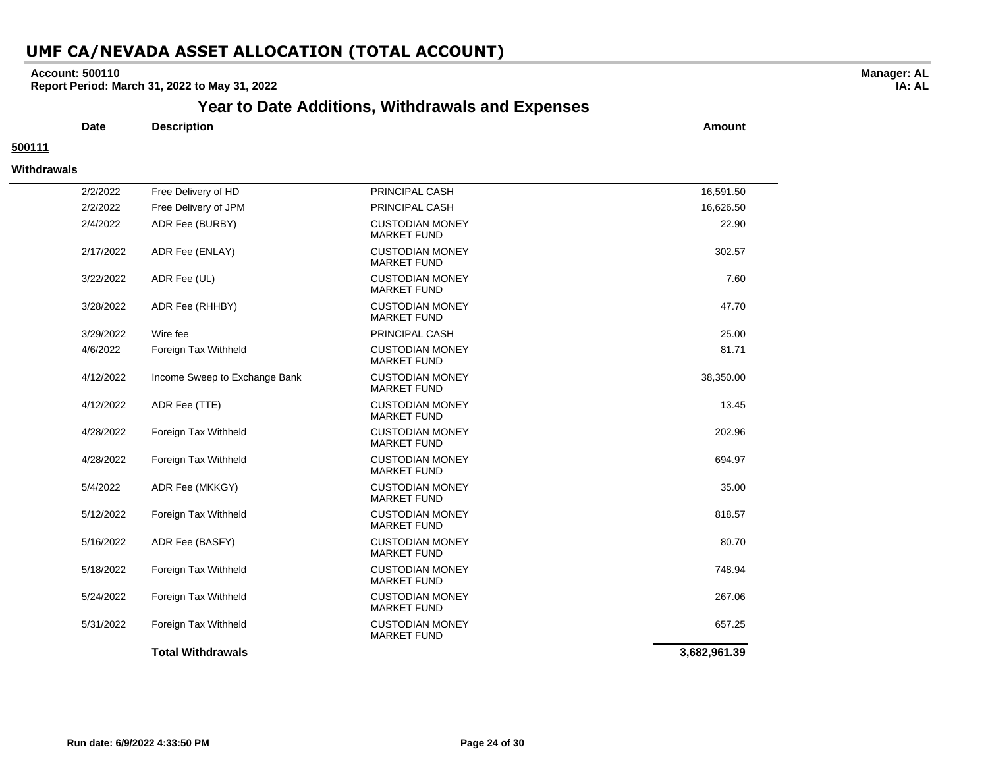#### **Account: 500110**

**Report Period: March 31, 2022 to May 31, 2022**

## **Year to Date Additions, Withdrawals and Expenses**

**Date Description Amount**

#### **500111**

#### **Withdrawals**

| 2/2/2022  | Free Delivery of HD           | PRINCIPAL CASH                               | 16,591.50    |
|-----------|-------------------------------|----------------------------------------------|--------------|
| 2/2/2022  | Free Delivery of JPM          | PRINCIPAL CASH                               | 16,626.50    |
| 2/4/2022  | ADR Fee (BURBY)               | <b>CUSTODIAN MONEY</b><br><b>MARKET FUND</b> | 22.90        |
| 2/17/2022 | ADR Fee (ENLAY)               | <b>CUSTODIAN MONEY</b><br><b>MARKET FUND</b> | 302.57       |
| 3/22/2022 | ADR Fee (UL)                  | <b>CUSTODIAN MONEY</b><br><b>MARKET FUND</b> | 7.60         |
| 3/28/2022 | ADR Fee (RHHBY)               | <b>CUSTODIAN MONEY</b><br><b>MARKET FUND</b> | 47.70        |
| 3/29/2022 | Wire fee                      | PRINCIPAL CASH                               | 25.00        |
| 4/6/2022  | Foreign Tax Withheld          | <b>CUSTODIAN MONEY</b><br><b>MARKET FUND</b> | 81.71        |
| 4/12/2022 | Income Sweep to Exchange Bank | <b>CUSTODIAN MONEY</b><br><b>MARKET FUND</b> | 38,350.00    |
| 4/12/2022 | ADR Fee (TTE)                 | <b>CUSTODIAN MONEY</b><br><b>MARKET FUND</b> | 13.45        |
| 4/28/2022 | Foreign Tax Withheld          | <b>CUSTODIAN MONEY</b><br><b>MARKET FUND</b> | 202.96       |
| 4/28/2022 | Foreign Tax Withheld          | <b>CUSTODIAN MONEY</b><br><b>MARKET FUND</b> | 694.97       |
| 5/4/2022  | ADR Fee (MKKGY)               | <b>CUSTODIAN MONEY</b><br><b>MARKET FUND</b> | 35.00        |
| 5/12/2022 | Foreign Tax Withheld          | <b>CUSTODIAN MONEY</b><br><b>MARKET FUND</b> | 818.57       |
| 5/16/2022 | ADR Fee (BASFY)               | <b>CUSTODIAN MONEY</b><br><b>MARKET FUND</b> | 80.70        |
| 5/18/2022 | Foreign Tax Withheld          | <b>CUSTODIAN MONEY</b><br><b>MARKET FUND</b> | 748.94       |
| 5/24/2022 | Foreign Tax Withheld          | <b>CUSTODIAN MONEY</b><br><b>MARKET FUND</b> | 267.06       |
| 5/31/2022 | Foreign Tax Withheld          | <b>CUSTODIAN MONEY</b><br><b>MARKET FUND</b> | 657.25       |
|           | <b>Total Withdrawals</b>      |                                              | 3,682,961.39 |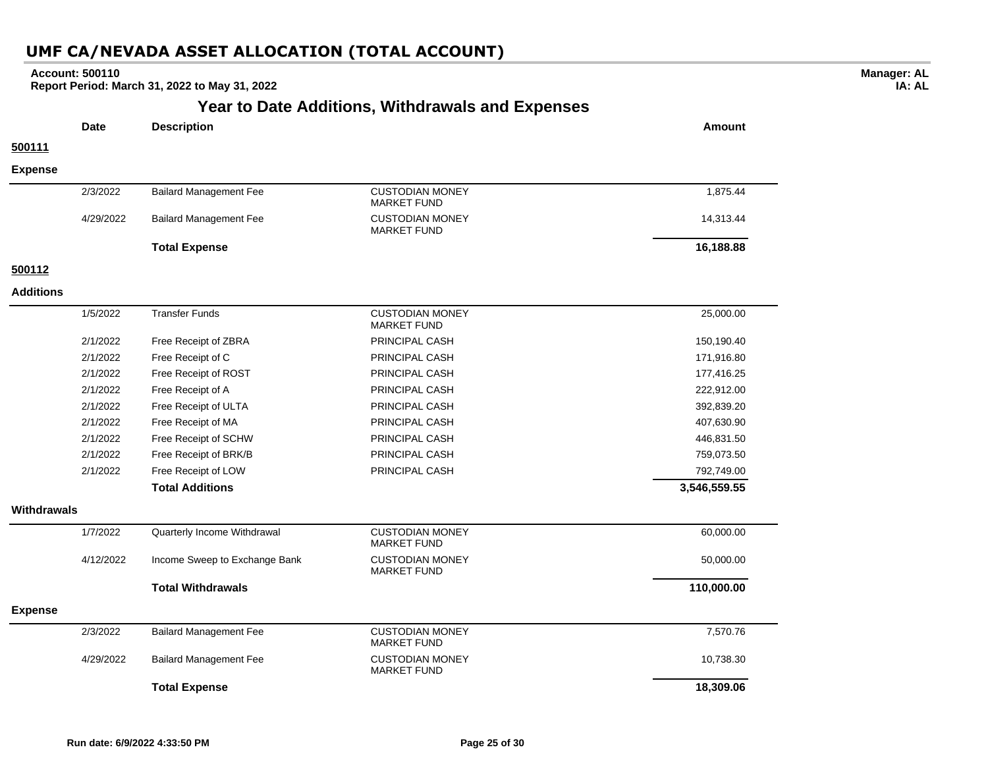| <b>Account: 500110</b> | Report Period: March 31, 2022 to May 31, 2022 |                                                         |               |
|------------------------|-----------------------------------------------|---------------------------------------------------------|---------------|
|                        |                                               | <b>Year to Date Additions, Withdrawals and Expenses</b> |               |
| <b>Date</b>            | <b>Description</b>                            |                                                         | <b>Amount</b> |
| 500111                 |                                               |                                                         |               |
| <b>Expense</b>         |                                               |                                                         |               |
| 2/3/2022               | <b>Bailard Management Fee</b>                 | <b>CUSTODIAN MONEY</b><br><b>MARKET FUND</b>            | 1,875.44      |
| 4/29/2022              | <b>Bailard Management Fee</b>                 | <b>CUSTODIAN MONEY</b><br><b>MARKET FUND</b>            | 14,313.44     |
|                        | <b>Total Expense</b>                          |                                                         | 16,188.88     |
| 500112                 |                                               |                                                         |               |
| <b>Additions</b>       |                                               |                                                         |               |
| 1/5/2022               | <b>Transfer Funds</b>                         | <b>CUSTODIAN MONEY</b><br><b>MARKET FUND</b>            | 25,000.00     |
| 2/1/2022               | Free Receipt of ZBRA                          | PRINCIPAL CASH                                          | 150,190.40    |
| 2/1/2022               | Free Receipt of C                             | PRINCIPAL CASH                                          | 171,916.80    |
| 2/1/2022               | Free Receipt of ROST                          | PRINCIPAL CASH                                          | 177,416.25    |
| 2/1/2022               | Free Receipt of A                             | PRINCIPAL CASH                                          | 222,912.00    |
| 2/1/2022               | Free Receipt of ULTA                          | PRINCIPAL CASH                                          | 392,839.20    |
| 2/1/2022               | Free Receipt of MA                            | PRINCIPAL CASH                                          | 407,630.90    |
| 2/1/2022               | Free Receipt of SCHW                          | PRINCIPAL CASH                                          | 446,831.50    |
| 2/1/2022               | Free Receipt of BRK/B                         | PRINCIPAL CASH                                          | 759,073.50    |
| 2/1/2022               | Free Receipt of LOW                           | PRINCIPAL CASH                                          | 792,749.00    |
|                        | <b>Total Additions</b>                        |                                                         | 3,546,559.55  |
| Withdrawals            |                                               |                                                         |               |
| 1/7/2022               | Quarterly Income Withdrawal                   | <b>CUSTODIAN MONEY</b><br><b>MARKET FUND</b>            | 60,000.00     |
| 4/12/2022              | Income Sweep to Exchange Bank                 | <b>CUSTODIAN MONEY</b><br><b>MARKET FUND</b>            | 50,000.00     |
|                        | <b>Total Withdrawals</b>                      |                                                         | 110,000.00    |
| <b>Expense</b>         |                                               |                                                         |               |
| 2/3/2022               | <b>Bailard Management Fee</b>                 | <b>CUSTODIAN MONEY</b><br><b>MARKET FUND</b>            | 7,570.76      |
| 4/29/2022              | <b>Bailard Management Fee</b>                 | <b>CUSTODIAN MONEY</b><br><b>MARKET FUND</b>            | 10,738.30     |
|                        | <b>Total Expense</b>                          |                                                         | 18,309.06     |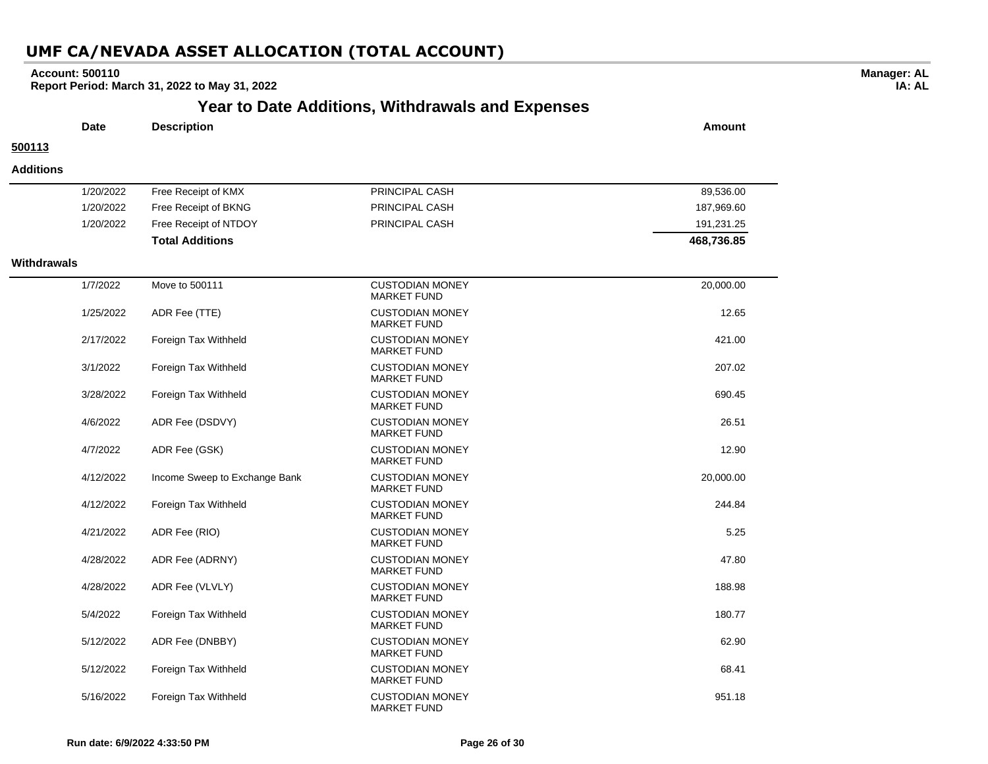#### **Account: 500110**

**Report Period: March 31, 2022 to May 31, 2022**

## **Year to Date Additions, Withdrawals and Expenses**

|                  | <b>Date</b> | <b>Description</b>           |                       | Amount     |  |
|------------------|-------------|------------------------------|-----------------------|------------|--|
| 500113           |             |                              |                       |            |  |
| <b>Additions</b> |             |                              |                       |            |  |
|                  | 1/20/2022   | Free Receipt of KMX          | <b>PRINCIPAL CASH</b> | 89,536.00  |  |
|                  | 1/20/2022   | Free Receipt of BKNG         | <b>PRINCIPAL CASH</b> | 187,969.60 |  |
|                  | 1/20/2022   | <b>Free Receipt of NTDOV</b> | PRINCIPAL CASH        | 101 231 25 |  |

#### **Withdr**

 $\sim$ 

|        | 1/20/2022 | Free Receipt of NTDOY         | PRINCIPAL CASH                               | 191,231.25 |
|--------|-----------|-------------------------------|----------------------------------------------|------------|
|        |           | <b>Total Additions</b>        |                                              | 468,736.85 |
| rawals |           |                               |                                              |            |
|        | 1/7/2022  | Move to 500111                | <b>CUSTODIAN MONEY</b><br><b>MARKET FUND</b> | 20,000.00  |
|        | 1/25/2022 | ADR Fee (TTE)                 | <b>CUSTODIAN MONEY</b><br><b>MARKET FUND</b> | 12.65      |
|        | 2/17/2022 | Foreign Tax Withheld          | <b>CUSTODIAN MONEY</b><br><b>MARKET FUND</b> | 421.00     |
|        | 3/1/2022  | Foreign Tax Withheld          | <b>CUSTODIAN MONEY</b><br><b>MARKET FUND</b> | 207.02     |
|        | 3/28/2022 | Foreign Tax Withheld          | <b>CUSTODIAN MONEY</b><br><b>MARKET FUND</b> | 690.45     |
|        | 4/6/2022  | ADR Fee (DSDVY)               | <b>CUSTODIAN MONEY</b><br><b>MARKET FUND</b> | 26.51      |
|        | 4/7/2022  | ADR Fee (GSK)                 | <b>CUSTODIAN MONEY</b><br><b>MARKET FUND</b> | 12.90      |
|        | 4/12/2022 | Income Sweep to Exchange Bank | <b>CUSTODIAN MONEY</b><br><b>MARKET FUND</b> | 20,000.00  |
|        | 4/12/2022 | Foreign Tax Withheld          | <b>CUSTODIAN MONEY</b><br><b>MARKET FUND</b> | 244.84     |
|        | 4/21/2022 | ADR Fee (RIO)                 | <b>CUSTODIAN MONEY</b><br><b>MARKET FUND</b> | 5.25       |
|        | 4/28/2022 | ADR Fee (ADRNY)               | <b>CUSTODIAN MONEY</b><br><b>MARKET FUND</b> | 47.80      |
|        | 4/28/2022 | ADR Fee (VLVLY)               | <b>CUSTODIAN MONEY</b><br><b>MARKET FUND</b> | 188.98     |
|        | 5/4/2022  | Foreign Tax Withheld          | <b>CUSTODIAN MONEY</b><br><b>MARKET FUND</b> | 180.77     |
|        | 5/12/2022 | ADR Fee (DNBBY)               | <b>CUSTODIAN MONEY</b><br><b>MARKET FUND</b> | 62.90      |
|        | 5/12/2022 | Foreign Tax Withheld          | <b>CUSTODIAN MONEY</b><br><b>MARKET FUND</b> | 68.41      |
|        | 5/16/2022 | Foreign Tax Withheld          | <b>CUSTODIAN MONEY</b><br><b>MARKET FUND</b> | 951.18     |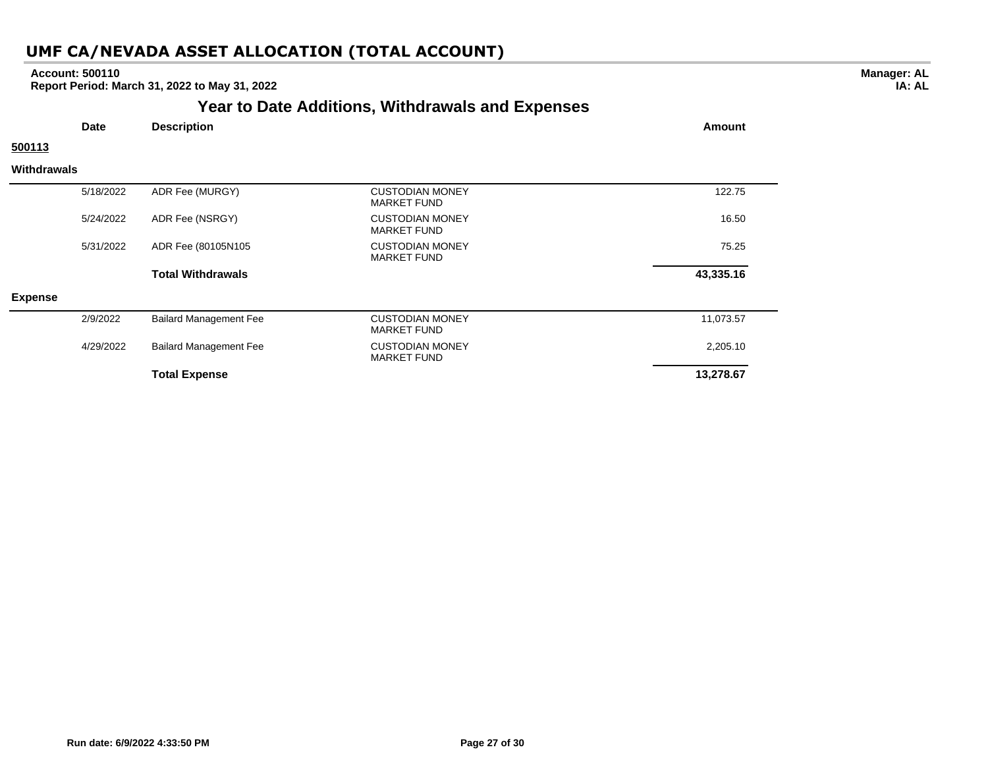#### **Account: 500110**

**Report Period: March 31, 2022 to May 31, 2022**

## **Year to Date Additions, Withdrawals and Expenses**

| <b>Date</b>        |           | <b>Description</b>            |                                              | <b>Amount</b> |
|--------------------|-----------|-------------------------------|----------------------------------------------|---------------|
| 500113             |           |                               |                                              |               |
| <b>Withdrawals</b> |           |                               |                                              |               |
|                    | 5/18/2022 | ADR Fee (MURGY)               | <b>CUSTODIAN MONEY</b><br><b>MARKET FUND</b> | 122.75        |
|                    | 5/24/2022 | ADR Fee (NSRGY)               | <b>CUSTODIAN MONEY</b><br><b>MARKET FUND</b> | 16.50         |
|                    | 5/31/2022 | ADR Fee (80105N105            | <b>CUSTODIAN MONEY</b><br><b>MARKET FUND</b> | 75.25         |
|                    |           | <b>Total Withdrawals</b>      |                                              | 43,335.16     |
| <b>Expense</b>     |           |                               |                                              |               |
|                    | 2/9/2022  | <b>Bailard Management Fee</b> | <b>CUSTODIAN MONEY</b><br><b>MARKET FUND</b> | 11,073.57     |
|                    | 4/29/2022 | <b>Bailard Management Fee</b> | <b>CUSTODIAN MONEY</b><br><b>MARKET FUND</b> | 2,205.10      |
|                    |           | <b>Total Expense</b>          |                                              | 13,278.67     |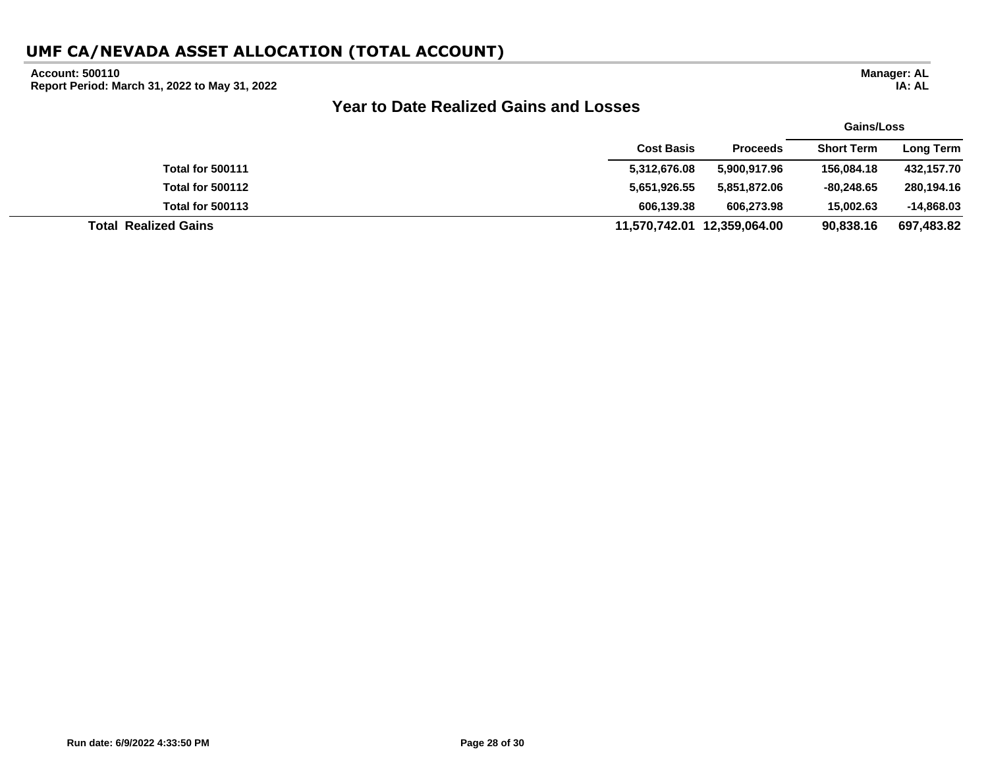#### **Account: 500110**

**Report Period: March 31, 2022 to May 31, 2022**

## **Year to Date Realized Gains and Losses**

|                             |                   |                             | <b>Gains/Loss</b> |                  |  |
|-----------------------------|-------------------|-----------------------------|-------------------|------------------|--|
|                             | <b>Cost Basis</b> | <b>Proceeds</b>             | <b>Short Term</b> | <b>Long Term</b> |  |
| <b>Total for 500111</b>     | 5,312,676.08      | 5,900,917.96                | 156.084.18        | 432,157.70       |  |
| <b>Total for 500112</b>     | 5,651,926.55      | 5,851,872.06                | $-80.248.65$      | 280,194.16       |  |
| <b>Total for 500113</b>     | 606.139.38        | 606.273.98                  | 15,002,63         | $-14,868.03$     |  |
| <b>Total Realized Gains</b> |                   | 11,570,742.01 12,359,064.00 | 90.838.16         | 697,483.82       |  |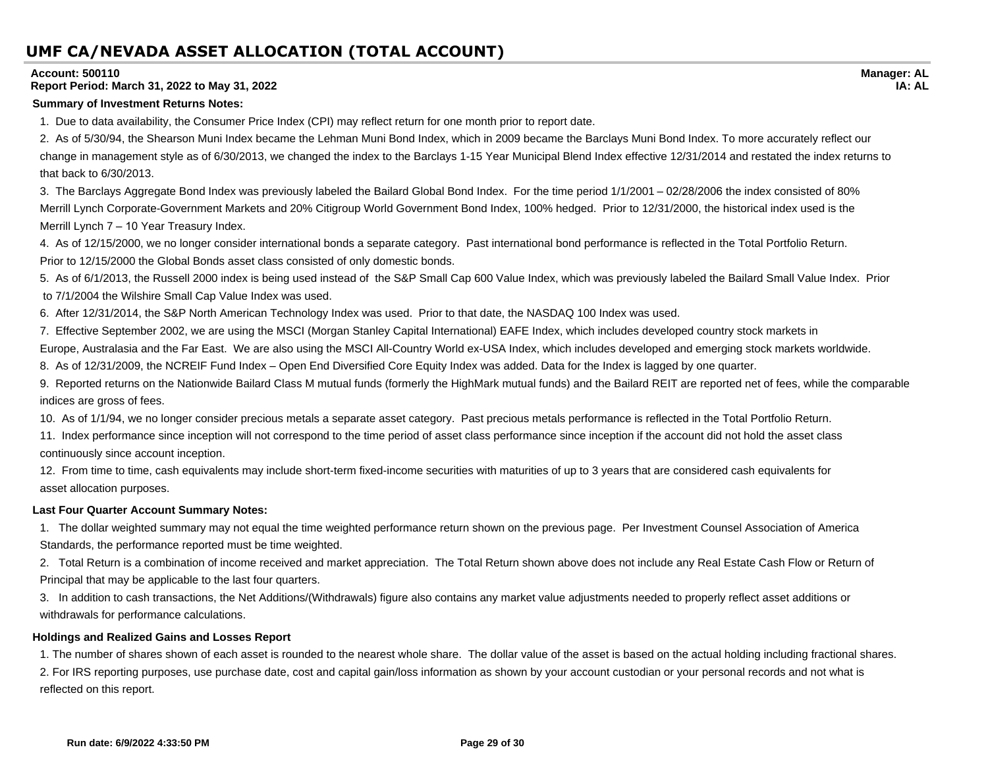#### **Account: 500110**

#### **Report Period: March 31, 2022 to May 31, 2022**

#### **Summary of Investment Returns Notes:**

1. Due to data availability, the Consumer Price Index (CPI) may reflect return for one month prior to report date.

2. As of 5/30/94, the Shearson Muni Index became the Lehman Muni Bond Index, which in 2009 became the Barclays Muni Bond Index. To more accurately reflect our change in management style as of 6/30/2013, we changed the index to the Barclays 1-15 Year Municipal Blend Index effective 12/31/2014 and restated the index returns to that back to 6/30/2013.

3. The Barclays Aggregate Bond Index was previously labeled the Bailard Global Bond Index. For the time period 1/1/2001 – 02/28/2006 the index consisted of 80% Merrill Lynch Corporate-Government Markets and 20% Citigroup World Government Bond Index, 100% hedged. Prior to 12/31/2000, the historical index used is the Merrill Lynch 7 – 10 Year Treasury Index.

4. As of 12/15/2000, we no longer consider international bonds a separate category. Past international bond performance is reflected in the Total Portfolio Return. Prior to 12/15/2000 the Global Bonds asset class consisted of only domestic bonds.

5. As of 6/1/2013, the Russell 2000 index is being used instead of the S&P Small Cap 600 Value Index, which was previously labeled the Bailard Small Value Index. Prior to 7/1/2004 the Wilshire Small Cap Value Index was used.

6. After 12/31/2014, the S&P North American Technology Index was used. Prior to that date, the NASDAQ 100 Index was used.

7. Effective September 2002, we are using the MSCI (Morgan Stanley Capital International) EAFE Index, which includes developed country stock markets in

Europe, Australasia and the Far East. We are also using the MSCI All-Country World ex-USA Index, which includes developed and emerging stock markets worldwide.

8. As of 12/31/2009, the NCREIF Fund Index – Open End Diversified Core Equity Index was added. Data for the Index is lagged by one quarter.

9. Reported returns on the Nationwide Bailard Class M mutual funds (formerly the HighMark mutual funds) and the Bailard REIT are reported net of fees, while the comparable indices are gross of fees.

10. As of 1/1/94, we no longer consider precious metals a separate asset category. Past precious metals performance is reflected in the Total Portfolio Return.

11. Index performance since inception will not correspond to the time period of asset class performance since inception if the account did not hold the asset class continuously since account inception.

12. From time to time, cash equivalents may include short-term fixed-income securities with maturities of up to 3 years that are considered cash equivalents for asset allocation purposes.

#### **Last Four Quarter Account Summary Notes:**

1. The dollar weighted summary may not equal the time weighted performance return shown on the previous page. Per Investment Counsel Association of America Standards, the performance reported must be time weighted.

2. Total Return is a combination of income received and market appreciation. The Total Return shown above does not include any Real Estate Cash Flow or Return of Principal that may be applicable to the last four quarters.

3. In addition to cash transactions, the Net Additions/(Withdrawals) figure also contains any market value adjustments needed to properly reflect asset additions or withdrawals for performance calculations.

#### **Holdings and Realized Gains and Losses Report**

1. The number of shares shown of each asset is rounded to the nearest whole share. The dollar value of the asset is based on the actual holding including fractional shares. 2. For IRS reporting purposes, use purchase date, cost and capital gain/loss information as shown by your account custodian or your personal records and not what is reflected on this report.